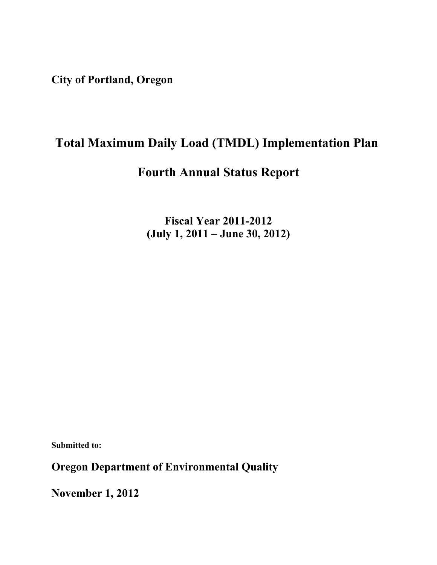**City of Portland, Oregon** 

# **Total Maximum Daily Load (TMDL) Implementation Plan**

## **Fourth Annual Status Report**

**Fiscal Year 2011-2012 (July 1, 2011 – June 30, 2012)**

**Submitted to:**

**Oregon Department of Environmental Quality**

**November 1, 2012**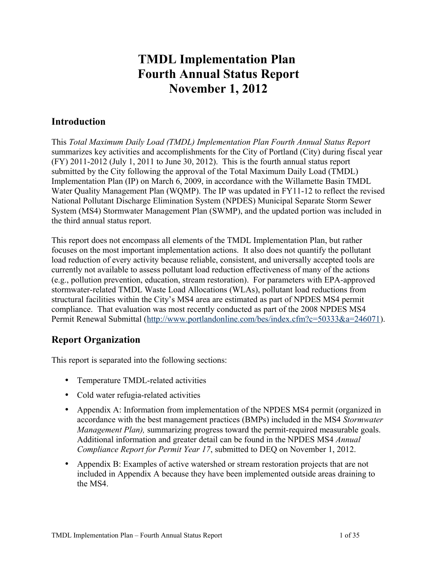# **TMDL Implementation Plan Fourth Annual Status Report November 1, 2012**

### **Introduction**

This *Total Maximum Daily Load (TMDL) Implementation Plan Fourth Annual Status Report* summarizes key activities and accomplishments for the City of Portland (City) during fiscal year (FY) 2011-2012 (July 1, 2011 to June 30, 2012). This is the fourth annual status report submitted by the City following the approval of the Total Maximum Daily Load (TMDL) Implementation Plan (IP) on March 6, 2009, in accordance with the Willamette Basin TMDL Water Quality Management Plan (WQMP). The IP was updated in FY11-12 to reflect the revised National Pollutant Discharge Elimination System (NPDES) Municipal Separate Storm Sewer System (MS4) Stormwater Management Plan (SWMP), and the updated portion was included in the third annual status report.

This report does not encompass all elements of the TMDL Implementation Plan, but rather focuses on the most important implementation actions. It also does not quantify the pollutant load reduction of every activity because reliable, consistent, and universally accepted tools are currently not available to assess pollutant load reduction effectiveness of many of the actions (e.g., pollution prevention, education, stream restoration). For parameters with EPA-approved stormwater-related TMDL Waste Load Allocations (WLAs), pollutant load reductions from structural facilities within the City's MS4 area are estimated as part of NPDES MS4 permit compliance. That evaluation was most recently conducted as part of the 2008 NPDES MS4 Permit Renewal Submittal [\(http://www.portlandonline.com/bes/index.cfm?c=50333&a=246071\)](http://www.portlandonline.com/bes/index.cfm?c=50333&a=246071).

### **Report Organization**

This report is separated into the following sections:

- Temperature TMDL-related activities
- Cold water refugia-related activities
- Appendix A: Information from implementation of the NPDES MS4 permit (organized in accordance with the best management practices (BMPs) included in the MS4 *Stormwater Management Plan),* summarizing progress toward the permit-required measurable goals. Additional information and greater detail can be found in the NPDES MS4 *Annual Compliance Report for Permit Year 17*, submitted to DEQ on November 1, 2012.
- Appendix B: Examples of active watershed or stream restoration projects that are not included in Appendix A because they have been implemented outside areas draining to the MS4.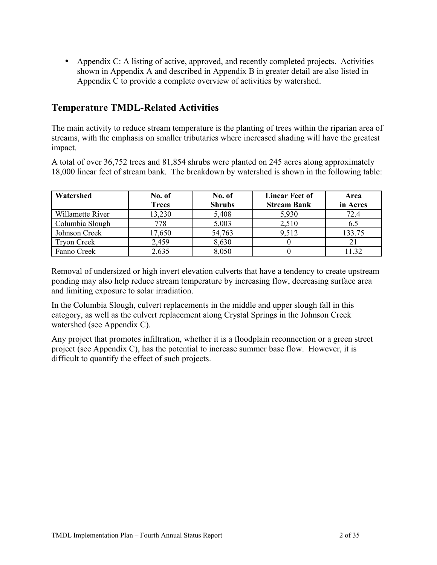• Appendix C: A listing of active, approved, and recently completed projects. Activities shown in Appendix A and described in Appendix B in greater detail are also listed in Appendix C to provide a complete overview of activities by watershed.

### **Temperature TMDL-Related Activities**

The main activity to reduce stream temperature is the planting of trees within the riparian area of streams, with the emphasis on smaller tributaries where increased shading will have the greatest impact.

A total of over 36,752 trees and 81,854 shrubs were planted on 245 acres along approximately 18,000 linear feet of stream bank. The breakdown by watershed is shown in the following table:

| Watershed          | No. of       | No. of        | <b>Linear Feet of</b> | Area     |
|--------------------|--------------|---------------|-----------------------|----------|
|                    | <b>Trees</b> | <b>Shrubs</b> | <b>Stream Bank</b>    | in Acres |
| Willamette River   | 13,230       | 5,408         | 5,930                 | 72.4     |
| Columbia Slough    | 778          | 5,003         | 2,510                 | 6.5      |
| Johnson Creek      | 17,650       | 54,763        | 9.512                 | 133.75   |
| <b>Tryon Creek</b> | 2,459        | 8,630         |                       |          |
| Fanno Creek        | 2,635        | 8,050         |                       | 1 3 2    |

Removal of undersized or high invert elevation culverts that have a tendency to create upstream ponding may also help reduce stream temperature by increasing flow, decreasing surface area and limiting exposure to solar irradiation.

In the Columbia Slough, culvert replacements in the middle and upper slough fall in this category, as well as the culvert replacement along Crystal Springs in the Johnson Creek watershed (see Appendix C).

Any project that promotes infiltration, whether it is a floodplain reconnection or a green street project (see Appendix C), has the potential to increase summer base flow. However, it is difficult to quantify the effect of such projects.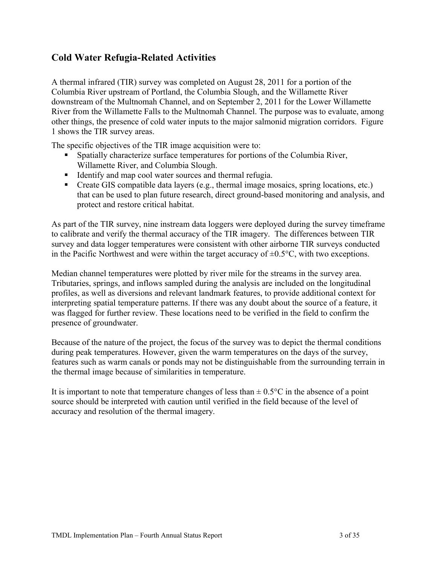### **Cold Water Refugia-Related Activities**

A thermal infrared (TIR) survey was completed on August 28, 2011 for a portion of the Columbia River upstream of Portland, the Columbia Slough, and the Willamette River downstream of the Multnomah Channel, and on September 2, 2011 for the Lower Willamette River from the Willamette Falls to the Multnomah Channel. The purpose was to evaluate, among other things, the presence of cold water inputs to the major salmonid migration corridors. Figure 1 shows the TIR survey areas.

The specific objectives of the TIR image acquisition were to:

- Spatially characterize surface temperatures for portions of the Columbia River, Willamette River, and Columbia Slough.
- Identify and map cool water sources and thermal refugia.
- Create GIS compatible data layers (e.g., thermal image mosaics, spring locations, etc.) that can be used to plan future research, direct ground-based monitoring and analysis, and protect and restore critical habitat.

As part of the TIR survey, nine instream data loggers were deployed during the survey timeframe to calibrate and verify the thermal accuracy of the TIR imagery. The differences between TIR survey and data logger temperatures were consistent with other airborne TIR surveys conducted in the Pacific Northwest and were within the target accuracy of  $\pm 0.5$ °C, with two exceptions.

Median channel temperatures were plotted by river mile for the streams in the survey area. Tributaries, springs, and inflows sampled during the analysis are included on the longitudinal profiles, as well as diversions and relevant landmark features, to provide additional context for interpreting spatial temperature patterns. If there was any doubt about the source of a feature, it was flagged for further review. These locations need to be verified in the field to confirm the presence of groundwater.

Because of the nature of the project, the focus of the survey was to depict the thermal conditions during peak temperatures. However, given the warm temperatures on the days of the survey, features such as warm canals or ponds may not be distinguishable from the surrounding terrain in the thermal image because of similarities in temperature.

It is important to note that temperature changes of less than  $\pm$  0.5 $\degree$ C in the absence of a point source should be interpreted with caution until verified in the field because of the level of accuracy and resolution of the thermal imagery.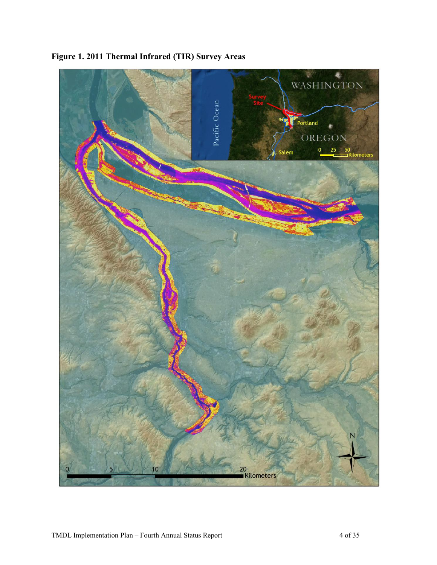

**Figure 1. 2011 Thermal Infrared (TIR) Survey Areas**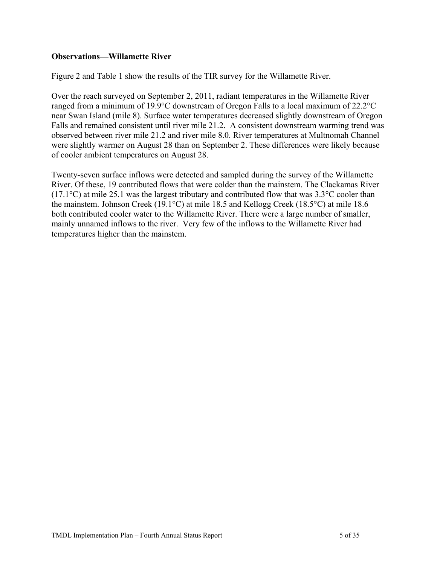#### **Observations—Willamette River**

Figure 2 and Table 1 show the results of the TIR survey for the Willamette River.

Over the reach surveyed on September 2, 2011, radiant temperatures in the Willamette River ranged from a minimum of 19.9°C downstream of Oregon Falls to a local maximum of 22.2°C near Swan Island (mile 8). Surface water temperatures decreased slightly downstream of Oregon Falls and remained consistent until river mile 21.2. A consistent downstream warming trend was observed between river mile 21.2 and river mile 8.0. River temperatures at Multnomah Channel were slightly warmer on August 28 than on September 2. These differences were likely because of cooler ambient temperatures on August 28.

Twenty-seven surface inflows were detected and sampled during the survey of the Willamette River. Of these, 19 contributed flows that were colder than the mainstem. The Clackamas River (17.1°C) at mile 25.1 was the largest tributary and contributed flow that was 3.3°C cooler than the mainstem. Johnson Creek (19.1°C) at mile 18.5 and Kellogg Creek (18.5°C) at mile 18.6 both contributed cooler water to the Willamette River. There were a large number of smaller, mainly unnamed inflows to the river. Very few of the inflows to the Willamette River had temperatures higher than the mainstem.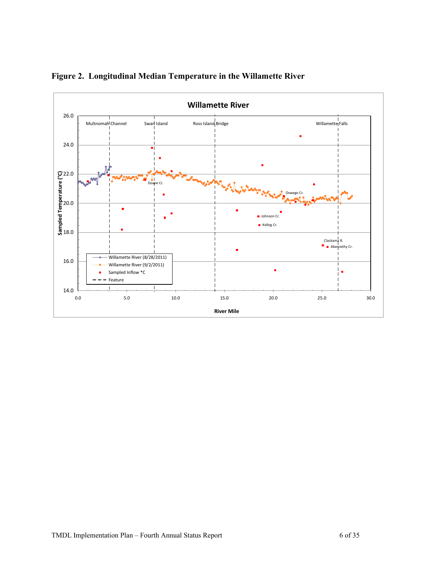

**Figure 2. Longitudinal Median Temperature in the Willamette River**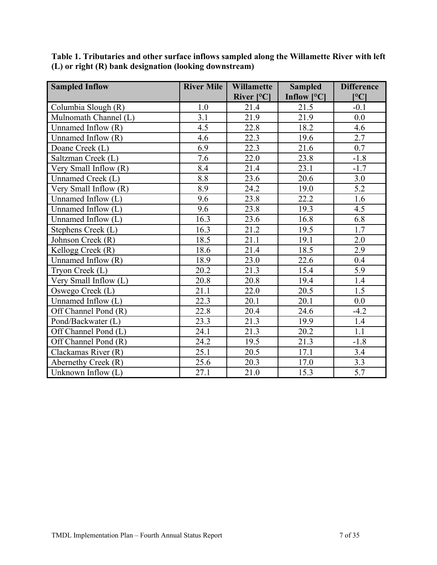| <b>Sampled Inflow</b> | <b>River Mile</b> | Willamette   | <b>Sampled</b> | <b>Difference</b> |
|-----------------------|-------------------|--------------|----------------|-------------------|
|                       |                   | River $[°C]$ | Inflow $[°C]$  | $\rm ^{\circ}C$ ] |
| Columbia Slough (R)   | 1.0               | 21.4         | 21.5           | $-0.1$            |
| Mulnomath Channel (L) | 3.1               | 21.9         | 21.9           | 0.0               |
| Unnamed Inflow (R)    | 4.5               | 22.8         | 18.2           | 4.6               |
| Unnamed Inflow (R)    | 4.6               | 22.3         | 19.6           | 2.7               |
| Doane Creek (L)       | 6.9               | 22.3         | 21.6           | 0.7               |
| Saltzman Creek (L)    | 7.6               | 22.0         | 23.8           | $-1.8$            |
| Very Small Inflow (R) | 8.4               | 21.4         | 23.1           | $-1.7$            |
| Unnamed Creek (L)     | 8.8               | 23.6         | 20.6           | 3.0               |
| Very Small Inflow (R) | 8.9               | 24.2         | 19.0           | 5.2               |
| Unnamed Inflow (L)    | 9.6               | 23.8         | 22.2           | 1.6               |
| Unnamed Inflow (L)    | 9.6               | 23.8         | 19.3           | 4.5               |
| Unnamed Inflow $(L)$  | 16.3              | 23.6         | 16.8           | 6.8               |
| Stephens Creek (L)    | 16.3              | 21.2         | 19.5           | 1.7               |
| Johnson Creek (R)     | 18.5              | 21.1         | 19.1           | 2.0               |
| Kellogg Creek (R)     | 18.6              | 21.4         | 18.5           | 2.9               |
| Unnamed Inflow $(R)$  | 18.9              | 23.0         | 22.6           | 0.4               |
| Tryon Creek (L)       | 20.2              | 21.3         | 15.4           | 5.9               |
| Very Small Inflow (L) | 20.8              | 20.8         | 19.4           | 1.4               |
| Oswego Creek (L)      | 21.1              | 22.0         | 20.5           | 1.5               |
| Unnamed Inflow (L)    | 22.3              | 20.1         | 20.1           | 0.0               |
| Off Channel Pond (R)  | 22.8              | 20.4         | 24.6           | $-4.2$            |
| Pond/Backwater (L)    | 23.3              | 21.3         | 19.9           | 1.4               |
| Off Channel Pond (L)  | 24.1              | 21.3         | 20.2           | 1.1               |
| Off Channel Pond (R)  | 24.2              | 19.5         | 21.3           | $-1.8$            |
| Clackamas River (R)   | 25.1              | 20.5         | 17.1           | 3.4               |
| Abernethy Creek (R)   | 25.6              | 20.3         | 17.0           | 3.3               |
| Unknown Inflow (L)    | 27.1              | 21.0         | 15.3           | 5.7               |

**Table 1. Tributaries and other surface inflows sampled along the Willamette River with left (L) or right (R) bank designation (looking downstream)**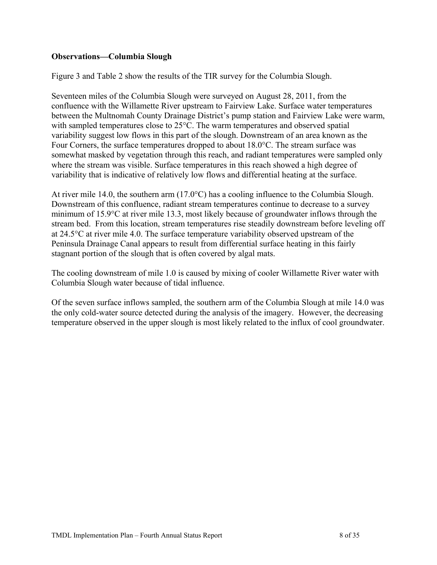#### **Observations—Columbia Slough**

Figure 3 and Table 2 show the results of the TIR survey for the Columbia Slough.

Seventeen miles of the Columbia Slough were surveyed on August 28, 2011, from the confluence with the Willamette River upstream to Fairview Lake. Surface water temperatures between the Multnomah County Drainage District's pump station and Fairview Lake were warm, with sampled temperatures close to 25°C. The warm temperatures and observed spatial variability suggest low flows in this part of the slough. Downstream of an area known as the Four Corners, the surface temperatures dropped to about 18.0°C. The stream surface was somewhat masked by vegetation through this reach, and radiant temperatures were sampled only where the stream was visible. Surface temperatures in this reach showed a high degree of variability that is indicative of relatively low flows and differential heating at the surface.

At river mile 14.0, the southern arm (17.0°C) has a cooling influence to the Columbia Slough. Downstream of this confluence, radiant stream temperatures continue to decrease to a survey minimum of 15.9°C at river mile 13.3, most likely because of groundwater inflows through the stream bed. From this location, stream temperatures rise steadily downstream before leveling off at 24.5°C at river mile 4.0. The surface temperature variability observed upstream of the Peninsula Drainage Canal appears to result from differential surface heating in this fairly stagnant portion of the slough that is often covered by algal mats.

The cooling downstream of mile 1.0 is caused by mixing of cooler Willamette River water with Columbia Slough water because of tidal influence.

Of the seven surface inflows sampled, the southern arm of the Columbia Slough at mile 14.0 was the only cold-water source detected during the analysis of the imagery. However, the decreasing temperature observed in the upper slough is most likely related to the influx of cool groundwater.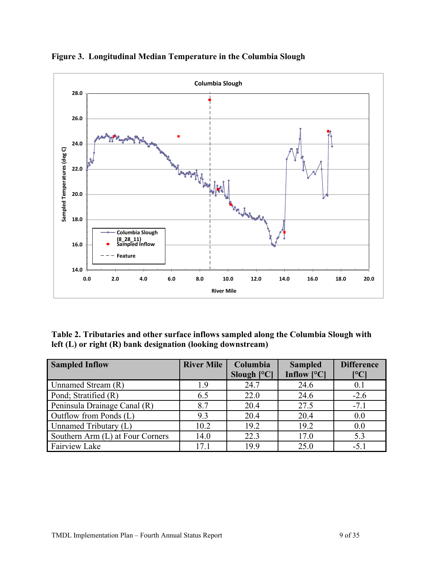

**Figure 3. Longitudinal Median Temperature in the Columbia Slough**

**Table 2. Tributaries and other surface inflows sampled along the Columbia Slough with left (L) or right (R) bank designation (looking downstream)**

| <b>Sampled Inflow</b>            | <b>River Mile</b> | Columbia<br>Slough $[°C]$ | <b>Sampled</b><br>Inflow $[°C]$ | <b>Difference</b><br>$\mathsf{I}^\mathsf{o}\mathbf{C}$ |
|----------------------------------|-------------------|---------------------------|---------------------------------|--------------------------------------------------------|
| Unnamed Stream (R)               | 1.9               | 24.7                      | 24.6                            | 0.1                                                    |
| Pond; Stratified (R)             | 6.5               | 22.0                      | 24.6                            | $-2.6$                                                 |
| Peninsula Drainage Canal (R)     | 8.7               | 20.4                      | 27.5                            | $-7.1$                                                 |
| Outflow from Ponds (L)           | 9.3               | 20.4                      | 20.4                            | 0.0                                                    |
| Unnamed Tributary (L)            | 10.2              | 19.2                      | 19.2                            | 0.0                                                    |
| Southern Arm (L) at Four Corners | 14.0              | 22.3                      | 17.0                            | 5.3                                                    |
| <b>Fairview Lake</b>             | 17.1              | 19.9                      | 25.0                            | $-5.1$                                                 |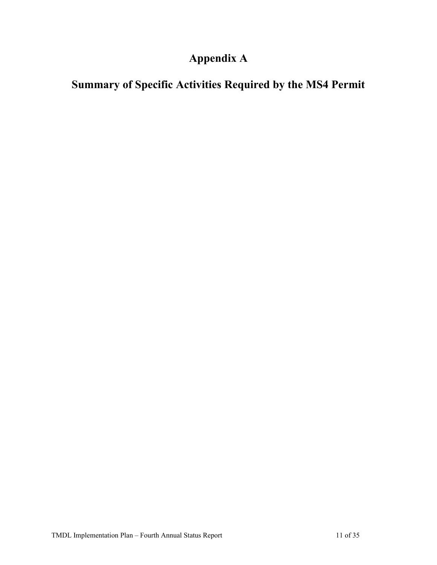# **Appendix A**

# **Summary of Specific Activities Required by the MS4 Permit**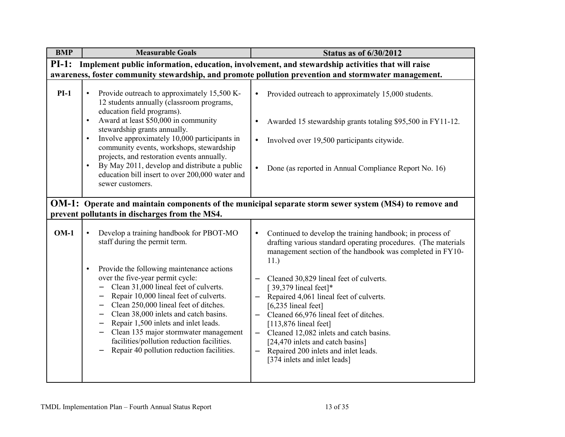| <b>BMP</b> | <b>Measurable Goals</b>                                                                                                                                                                                                                                                                                                                                                                                                                                                                                                                                                                                                                                            | <b>Status as of 6/30/2012</b>                                                                                                                                                                                                                                                                                                                                                                                                                                                                                                                                                        |
|------------|--------------------------------------------------------------------------------------------------------------------------------------------------------------------------------------------------------------------------------------------------------------------------------------------------------------------------------------------------------------------------------------------------------------------------------------------------------------------------------------------------------------------------------------------------------------------------------------------------------------------------------------------------------------------|--------------------------------------------------------------------------------------------------------------------------------------------------------------------------------------------------------------------------------------------------------------------------------------------------------------------------------------------------------------------------------------------------------------------------------------------------------------------------------------------------------------------------------------------------------------------------------------|
| $PI-1:$    |                                                                                                                                                                                                                                                                                                                                                                                                                                                                                                                                                                                                                                                                    | Implement public information, education, involvement, and stewardship activities that will raise                                                                                                                                                                                                                                                                                                                                                                                                                                                                                     |
|            |                                                                                                                                                                                                                                                                                                                                                                                                                                                                                                                                                                                                                                                                    | awareness, foster community stewardship, and promote pollution prevention and stormwater management.                                                                                                                                                                                                                                                                                                                                                                                                                                                                                 |
| $PI-1$     | Provide outreach to approximately 15,500 K-<br>$\bullet$<br>12 students annually (classroom programs,<br>education field programs).<br>Award at least \$50,000 in community<br>$\bullet$<br>stewardship grants annually.<br>Involve approximately 10,000 participants in<br>$\bullet$<br>community events, workshops, stewardship<br>projects, and restoration events annually.<br>By May 2011, develop and distribute a public<br>$\bullet$<br>education bill insert to over 200,000 water and<br>sewer customers.                                                                                                                                                | Provided outreach to approximately 15,000 students.<br>$\bullet$<br>Awarded 15 stewardship grants totaling \$95,500 in FY11-12.<br>Involved over 19,500 participants citywide.<br>$\bullet$<br>Done (as reported in Annual Compliance Report No. 16)<br>$\bullet$                                                                                                                                                                                                                                                                                                                    |
|            |                                                                                                                                                                                                                                                                                                                                                                                                                                                                                                                                                                                                                                                                    | <b>OM-1:</b> Operate and maintain components of the municipal separate storm sewer system (MS4) to remove and                                                                                                                                                                                                                                                                                                                                                                                                                                                                        |
|            | prevent pollutants in discharges from the MS4.                                                                                                                                                                                                                                                                                                                                                                                                                                                                                                                                                                                                                     |                                                                                                                                                                                                                                                                                                                                                                                                                                                                                                                                                                                      |
| $OM-1$     | Develop a training handbook for PBOT-MO<br>$\bullet$<br>staff during the permit term.<br>Provide the following maintenance actions<br>$\bullet$<br>over the five-year permit cycle:<br>Clean 31,000 lineal feet of culverts.<br>Repair 10,000 lineal feet of culverts.<br>$\qquad \qquad -$<br>Clean 250,000 lineal feet of ditches.<br>$\qquad \qquad -$<br>Clean 38,000 inlets and catch basins.<br>$\overline{\phantom{0}}$<br>Repair 1,500 inlets and inlet leads.<br>$\overline{\phantom{0}}$<br>Clean 135 major stormwater management<br>$\overline{\phantom{m}}$<br>facilities/pollution reduction facilities.<br>Repair 40 pollution reduction facilities. | Continued to develop the training handbook; in process of<br>$\bullet$<br>drafting various standard operating procedures. (The materials<br>management section of the handbook was completed in FY10-<br>11.)<br>Cleaned 30,829 lineal feet of culverts.<br>[ 39,379 lineal feet]*<br>Repaired 4,061 lineal feet of culverts.<br>$[6,235]$ lineal feet]<br>Cleaned 66,976 lineal feet of ditches.<br>$[113,876]$ lineal feet]<br>Cleaned 12,082 inlets and catch basins.<br>[24,470 inlets and catch basins]<br>Repaired 200 inlets and inlet leads.<br>[374 inlets and inlet leads] |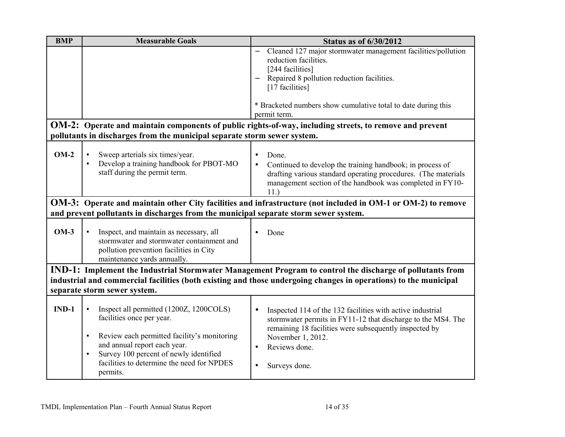| <b>BMP</b> | <b>Measurable Goals</b>                                                                           | <b>Status as of 6/30/2012</b>                                                                                    |
|------------|---------------------------------------------------------------------------------------------------|------------------------------------------------------------------------------------------------------------------|
|            |                                                                                                   | Cleaned 127 major stormwater management facilities/pollution<br>$\equiv$<br>reduction facilities.                |
|            |                                                                                                   | [244 facilities]                                                                                                 |
|            |                                                                                                   | Repaired 8 pollution reduction facilities.                                                                       |
|            |                                                                                                   | [17 facilities]                                                                                                  |
|            |                                                                                                   |                                                                                                                  |
|            |                                                                                                   | * Bracketed numbers show cumulative total to date during this                                                    |
|            |                                                                                                   | permit term.                                                                                                     |
|            |                                                                                                   | OM-2: Operate and maintain components of public rights-of-way, including streets, to remove and prevent          |
|            | pollutants in discharges from the municipal separate storm sewer system.                          |                                                                                                                  |
|            |                                                                                                   |                                                                                                                  |
| $OM-2$     | Sweep arterials six times/year.                                                                   | Done.<br>$\bullet$                                                                                               |
|            | Develop a training handbook for PBOT-MO                                                           | Continued to develop the training handbook; in process of                                                        |
|            | staff during the permit term.                                                                     | drafting various standard operating procedures. (The materials                                                   |
|            |                                                                                                   | management section of the handbook was completed in FY10-                                                        |
|            |                                                                                                   | 11.                                                                                                              |
|            |                                                                                                   | OM-3: Operate and maintain other City facilities and infrastructure (not included in OM-1 or OM-2) to remove     |
|            | and prevent pollutants in discharges from the municipal separate storm sewer system.              |                                                                                                                  |
|            |                                                                                                   |                                                                                                                  |
| $OM-3$     | Inspect, and maintain as necessary, all<br>$\bullet$                                              | Done                                                                                                             |
|            | stormwater and stormwater containment and                                                         |                                                                                                                  |
|            | pollution prevention facilities in City                                                           |                                                                                                                  |
|            | maintenance yards annually.                                                                       |                                                                                                                  |
|            |                                                                                                   | IND-1: Implement the Industrial Stormwater Management Program to control the discharge of pollutants from        |
|            |                                                                                                   | industrial and commercial facilities (both existing and those undergoing changes in operations) to the municipal |
|            | separate storm sewer system.                                                                      |                                                                                                                  |
|            |                                                                                                   |                                                                                                                  |
| $IND-1$    | Inspect all permitted (1200Z, 1200COLS)<br>$\bullet$                                              | Inspected 114 of the 132 facilities with active industrial<br>$\bullet$                                          |
|            | facilities once per year.                                                                         | stormwater permits in FY11-12 that discharge to the MS4. The                                                     |
|            |                                                                                                   | remaining 18 facilities were subsequently inspected by                                                           |
|            | Review each permitted facility's monitoring<br>$\bullet$                                          | November 1, 2012.                                                                                                |
|            | and annual report each year.                                                                      | Reviews done.<br>$\bullet$                                                                                       |
|            | Survey 100 percent of newly identified<br>$\bullet$<br>facilities to determine the need for NPDES |                                                                                                                  |
|            |                                                                                                   | Surveys done.<br>$\bullet$                                                                                       |
|            | permits.                                                                                          |                                                                                                                  |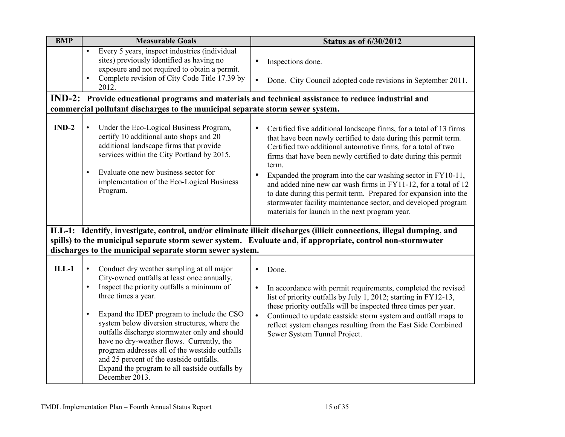| <b>BMP</b> | <b>Measurable Goals</b>                                                                                                                                                                                                                                                                                                                                                                                                                                                                                                                  | <b>Status as of 6/30/2012</b>                                                                                                                                                                                                                                                                                                                                                                                                                                                                                                                                                                                                          |
|------------|------------------------------------------------------------------------------------------------------------------------------------------------------------------------------------------------------------------------------------------------------------------------------------------------------------------------------------------------------------------------------------------------------------------------------------------------------------------------------------------------------------------------------------------|----------------------------------------------------------------------------------------------------------------------------------------------------------------------------------------------------------------------------------------------------------------------------------------------------------------------------------------------------------------------------------------------------------------------------------------------------------------------------------------------------------------------------------------------------------------------------------------------------------------------------------------|
|            | Every 5 years, inspect industries (individual<br>sites) previously identified as having no<br>exposure and not required to obtain a permit.                                                                                                                                                                                                                                                                                                                                                                                              | Inspections done.<br>$\bullet$                                                                                                                                                                                                                                                                                                                                                                                                                                                                                                                                                                                                         |
|            | Complete revision of City Code Title 17.39 by<br>2012.                                                                                                                                                                                                                                                                                                                                                                                                                                                                                   | Done. City Council adopted code revisions in September 2011.<br>$\bullet$                                                                                                                                                                                                                                                                                                                                                                                                                                                                                                                                                              |
|            |                                                                                                                                                                                                                                                                                                                                                                                                                                                                                                                                          | IND-2: Provide educational programs and materials and technical assistance to reduce industrial and                                                                                                                                                                                                                                                                                                                                                                                                                                                                                                                                    |
|            | commercial pollutant discharges to the municipal separate storm sewer system.                                                                                                                                                                                                                                                                                                                                                                                                                                                            |                                                                                                                                                                                                                                                                                                                                                                                                                                                                                                                                                                                                                                        |
| $IND-2$    | Under the Eco-Logical Business Program,<br>$\bullet$<br>certify 10 additional auto shops and 20<br>additional landscape firms that provide<br>services within the City Portland by 2015.<br>Evaluate one new business sector for<br>implementation of the Eco-Logical Business<br>Program.                                                                                                                                                                                                                                               | Certified five additional landscape firms, for a total of 13 firms<br>$\bullet$<br>that have been newly certified to date during this permit term.<br>Certified two additional automotive firms, for a total of two<br>firms that have been newly certified to date during this permit<br>term.<br>Expanded the program into the car washing sector in FY10-11,<br>$\bullet$<br>and added nine new car wash firms in FY11-12, for a total of 12<br>to date during this permit term. Prepared for expansion into the<br>stormwater facility maintenance sector, and developed program<br>materials for launch in the next program year. |
|            | discharges to the municipal separate storm sewer system.                                                                                                                                                                                                                                                                                                                                                                                                                                                                                 | ILL-1: Identify, investigate, control, and/or eliminate illicit discharges (illicit connections, illegal dumping, and<br>spills) to the municipal separate storm sewer system. Evaluate and, if appropriate, control non-stormwater                                                                                                                                                                                                                                                                                                                                                                                                    |
| $ILL-1$    | Conduct dry weather sampling at all major<br>City-owned outfalls at least once annually.<br>Inspect the priority outfalls a minimum of<br>three times a year.<br>Expand the IDEP program to include the CSO<br>$\bullet$<br>system below diversion structures, where the<br>outfalls discharge stormwater only and should<br>have no dry-weather flows. Currently, the<br>program addresses all of the westside outfalls<br>and 25 percent of the eastside outfalls.<br>Expand the program to all eastside outfalls by<br>December 2013. | Done.<br>$\bullet$<br>In accordance with permit requirements, completed the revised<br>$\bullet$<br>list of priority outfalls by July 1, 2012; starting in FY12-13,<br>these priority outfalls will be inspected three times per year.<br>Continued to update eastside storm system and outfall maps to<br>$\bullet$<br>reflect system changes resulting from the East Side Combined<br>Sewer System Tunnel Project.                                                                                                                                                                                                                   |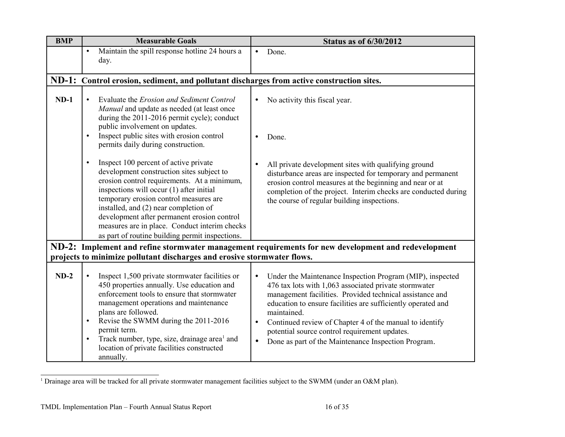| <b>BMP</b> | <b>Measurable Goals</b>                                                                                                                                                                                                                                                                                                                                                                                                           | <b>Status as of 6/30/2012</b>                                                                                                                                                                                                                                                                                                                                                                                                                                           |
|------------|-----------------------------------------------------------------------------------------------------------------------------------------------------------------------------------------------------------------------------------------------------------------------------------------------------------------------------------------------------------------------------------------------------------------------------------|-------------------------------------------------------------------------------------------------------------------------------------------------------------------------------------------------------------------------------------------------------------------------------------------------------------------------------------------------------------------------------------------------------------------------------------------------------------------------|
|            | Maintain the spill response hotline 24 hours a<br>$\bullet$<br>day.                                                                                                                                                                                                                                                                                                                                                               | Done.<br>$\bullet$                                                                                                                                                                                                                                                                                                                                                                                                                                                      |
|            | ND-1: Control erosion, sediment, and pollutant discharges from active construction sites.                                                                                                                                                                                                                                                                                                                                         |                                                                                                                                                                                                                                                                                                                                                                                                                                                                         |
| $ND-1$     | Evaluate the Erosion and Sediment Control<br>Manual and update as needed (at least once<br>during the 2011-2016 permit cycle); conduct<br>public involvement on updates.<br>Inspect public sites with erosion control<br>$\bullet$                                                                                                                                                                                                | No activity this fiscal year.<br>$\bullet$<br>Done.<br>$\bullet$                                                                                                                                                                                                                                                                                                                                                                                                        |
|            | permits daily during construction.                                                                                                                                                                                                                                                                                                                                                                                                |                                                                                                                                                                                                                                                                                                                                                                                                                                                                         |
|            | Inspect 100 percent of active private<br>$\bullet$<br>development construction sites subject to<br>erosion control requirements. At a minimum,<br>inspections will occur (1) after initial<br>temporary erosion control measures are<br>installed, and (2) near completion of<br>development after permanent erosion control<br>measures are in place. Conduct interim checks<br>as part of routine building permit inspections.  | All private development sites with qualifying ground<br>disturbance areas are inspected for temporary and permanent<br>erosion control measures at the beginning and near or at<br>completion of the project. Interim checks are conducted during<br>the course of regular building inspections.                                                                                                                                                                        |
|            |                                                                                                                                                                                                                                                                                                                                                                                                                                   | ND-2: Implement and refine stormwater management requirements for new development and redevelopment                                                                                                                                                                                                                                                                                                                                                                     |
|            | projects to minimize pollutant discharges and erosive stormwater flows.                                                                                                                                                                                                                                                                                                                                                           |                                                                                                                                                                                                                                                                                                                                                                                                                                                                         |
| $ND-2$     | Inspect 1,500 private stormwater facilities or<br>$\bullet$<br>450 properties annually. Use education and<br>enforcement tools to ensure that stormwater<br>management operations and maintenance<br>plans are followed.<br>Revise the SWMM during the 2011-2016<br>$\bullet$<br>permit term.<br>Track number, type, size, drainage area <sup>1</sup> and<br>$\bullet$<br>location of private facilities constructed<br>annually. | Under the Maintenance Inspection Program (MIP), inspected<br>$\bullet$<br>476 tax lots with 1,063 associated private stormwater<br>management facilities. Provided technical assistance and<br>education to ensure facilities are sufficiently operated and<br>maintained.<br>Continued review of Chapter 4 of the manual to identify<br>$\bullet$<br>potential source control requirement updates.<br>Done as part of the Maintenance Inspection Program.<br>$\bullet$ |

<span id="page-17-0"></span><sup>&</sup>lt;sup>1</sup> Drainage area will be tracked for all private stormwater management facilities subject to the SWMM (under an O&M plan).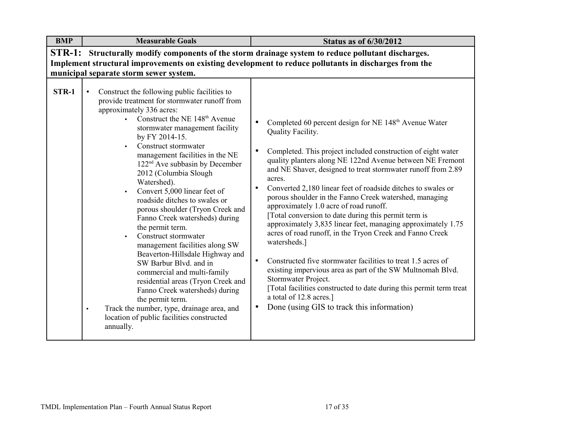| <b>BMP</b>                                                                                            | <b>Measurable Goals</b>                                                                                                                                                                                                                                                                                                                                                                                                                                                                                                                                                                                                                                                                                                                                                                                                                                                                                                                        | <b>Status as of 6/30/2012</b>                                                                                                                                                                                                                                                                                                                                                                                                                                                                                                                                                                                                                                                                                                                                                                                                                                                                                                                                                                                                               |  |  |
|-------------------------------------------------------------------------------------------------------|------------------------------------------------------------------------------------------------------------------------------------------------------------------------------------------------------------------------------------------------------------------------------------------------------------------------------------------------------------------------------------------------------------------------------------------------------------------------------------------------------------------------------------------------------------------------------------------------------------------------------------------------------------------------------------------------------------------------------------------------------------------------------------------------------------------------------------------------------------------------------------------------------------------------------------------------|---------------------------------------------------------------------------------------------------------------------------------------------------------------------------------------------------------------------------------------------------------------------------------------------------------------------------------------------------------------------------------------------------------------------------------------------------------------------------------------------------------------------------------------------------------------------------------------------------------------------------------------------------------------------------------------------------------------------------------------------------------------------------------------------------------------------------------------------------------------------------------------------------------------------------------------------------------------------------------------------------------------------------------------------|--|--|
| $STR-1:$                                                                                              |                                                                                                                                                                                                                                                                                                                                                                                                                                                                                                                                                                                                                                                                                                                                                                                                                                                                                                                                                | Structurally modify components of the storm drainage system to reduce pollutant discharges.                                                                                                                                                                                                                                                                                                                                                                                                                                                                                                                                                                                                                                                                                                                                                                                                                                                                                                                                                 |  |  |
| Implement structural improvements on existing development to reduce pollutants in discharges from the |                                                                                                                                                                                                                                                                                                                                                                                                                                                                                                                                                                                                                                                                                                                                                                                                                                                                                                                                                |                                                                                                                                                                                                                                                                                                                                                                                                                                                                                                                                                                                                                                                                                                                                                                                                                                                                                                                                                                                                                                             |  |  |
|                                                                                                       | municipal separate storm sewer system.                                                                                                                                                                                                                                                                                                                                                                                                                                                                                                                                                                                                                                                                                                                                                                                                                                                                                                         |                                                                                                                                                                                                                                                                                                                                                                                                                                                                                                                                                                                                                                                                                                                                                                                                                                                                                                                                                                                                                                             |  |  |
| STR-1                                                                                                 | Construct the following public facilities to<br>$\bullet$<br>provide treatment for stormwater runoff from<br>approximately 336 acres:<br>• Construct the NE $148th$ Avenue<br>stormwater management facility<br>by FY 2014-15.<br>Construct stormwater<br>$\bullet$<br>management facilities in the NE<br>$122nd$ Ave subbasin by December<br>2012 (Columbia Slough<br>Watershed).<br>Convert 5,000 linear feet of<br>$\bullet$<br>roadside ditches to swales or<br>porous shoulder (Tryon Creek and<br>Fanno Creek watersheds) during<br>the permit term.<br>Construct stormwater<br>$\bullet$<br>management facilities along SW<br>Beaverton-Hillsdale Highway and<br>SW Barbur Blvd. and in<br>commercial and multi-family<br>residential areas (Tryon Creek and<br>Fanno Creek watersheds) during<br>the permit term.<br>Track the number, type, drainage area, and<br>$\bullet$<br>location of public facilities constructed<br>annually. | Completed 60 percent design for NE 148 <sup>th</sup> Avenue Water<br>$\bullet$<br>Quality Facility.<br>Completed. This project included construction of eight water<br>$\bullet$<br>quality planters along NE 122nd Avenue between NE Fremont<br>and NE Shaver, designed to treat stormwater runoff from 2.89<br>acres.<br>Converted 2,180 linear feet of roadside ditches to swales or<br>$\bullet$<br>porous shoulder in the Fanno Creek watershed, managing<br>approximately 1.0 acre of road runoff.<br>[Total conversion to date during this permit term is<br>approximately 3,835 linear feet, managing approximately 1.75<br>acres of road runoff, in the Tryon Creek and Fanno Creek<br>watersheds.]<br>Constructed five stormwater facilities to treat 1.5 acres of<br>$\bullet$<br>existing impervious area as part of the SW Multnomah Blvd.<br>Stormwater Project.<br>[Total facilities constructed to date during this permit term treat<br>a total of 12.8 acres.]<br>Done (using GIS to track this information)<br>$\bullet$ |  |  |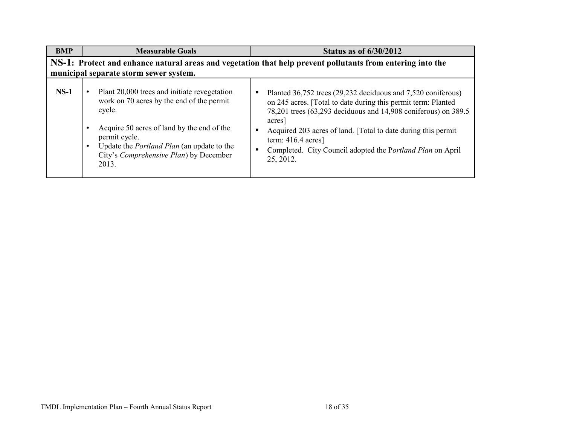| <b>BMP</b> | <b>Measurable Goals</b>                                                                                                                                                                                                                                                    | <b>Status as of 6/30/2012</b>                                                                                                                                                                                                                                                                                                                                                             |
|------------|----------------------------------------------------------------------------------------------------------------------------------------------------------------------------------------------------------------------------------------------------------------------------|-------------------------------------------------------------------------------------------------------------------------------------------------------------------------------------------------------------------------------------------------------------------------------------------------------------------------------------------------------------------------------------------|
|            | municipal separate storm sewer system.                                                                                                                                                                                                                                     | NS-1: Protect and enhance natural areas and vegetation that help prevent pollutants from entering into the                                                                                                                                                                                                                                                                                |
| $NS-1$     | Plant 20,000 trees and initiate revegetation<br>work on 70 acres by the end of the permit<br>cycle.<br>Acquire 50 acres of land by the end of the<br>permit cycle.<br>Update the <i>Portland Plan</i> (an update to the<br>City's Comprehensive Plan) by December<br>2013. | Planted 36,752 trees (29,232 deciduous and 7,520 coniferous)<br>$\bullet$<br>on 245 acres. [Total to date during this permit term: Planted<br>78,201 trees (63,293 deciduous and 14,908 coniferous) on 389.5<br>acres<br>Acquired 203 acres of land. [Total to date during this permit<br>term: $416.4$ acres]<br>Completed. City Council adopted the Portland Plan on April<br>25, 2012. |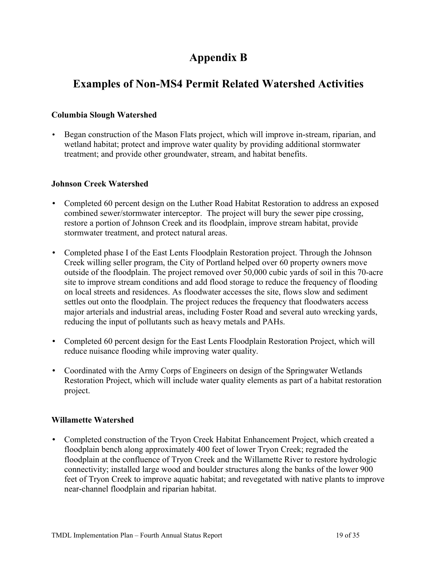## **Appendix B**

### **Examples of Non-MS4 Permit Related Watershed Activities**

### **Columbia Slough Watershed**

• Began construction of the Mason Flats project, which will improve in-stream, riparian, and wetland habitat; protect and improve water quality by providing additional stormwater treatment; and provide other groundwater, stream, and habitat benefits.

#### **Johnson Creek Watershed**

- Completed 60 percent design on the Luther Road Habitat Restoration to address an exposed combined sewer/stormwater interceptor. The project will bury the sewer pipe crossing, restore a portion of Johnson Creek and its floodplain, improve stream habitat, provide stormwater treatment, and protect natural areas.
- Completed phase I of the East Lents Floodplain Restoration project. Through the Johnson Creek willing seller program, the City of Portland helped over 60 property owners move outside of the floodplain. The project removed over 50,000 cubic yards of soil in this 70-acre site to improve stream conditions and add flood storage to reduce the frequency of flooding on local streets and residences. As floodwater accesses the site, flows slow and sediment settles out onto the floodplain. The project reduces the frequency that floodwaters access major arterials and industrial areas, including Foster Road and several auto wrecking yards, reducing the input of pollutants such as heavy metals and PAHs.
- Completed 60 percent design for the East Lents Floodplain Restoration Project, which will reduce nuisance flooding while improving water quality.
- Coordinated with the Army Corps of Engineers on design of the Springwater Wetlands Restoration Project, which will include water quality elements as part of a habitat restoration project.

#### **Willamette Watershed**

• Completed construction of the Tryon Creek Habitat Enhancement Project, which created a floodplain bench along approximately 400 feet of lower Tryon Creek; regraded the floodplain at the confluence of Tryon Creek and the Willamette River to restore hydrologic connectivity; installed large wood and boulder structures along the banks of the lower 900 feet of Tryon Creek to improve aquatic habitat; and revegetated with native plants to improve near-channel floodplain and riparian habitat.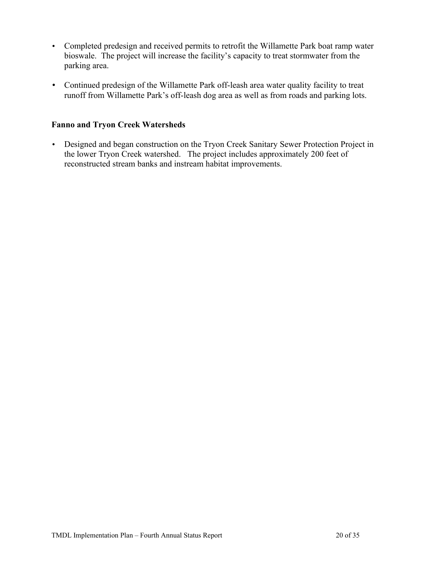- Completed predesign and received permits to retrofit the Willamette Park boat ramp water bioswale. The project will increase the facility's capacity to treat stormwater from the parking area.
- Continued predesign of the Willamette Park off-leash area water quality facility to treat runoff from Willamette Park's off-leash dog area as well as from roads and parking lots.

#### **Fanno and Tryon Creek Watersheds**

• Designed and began construction on the Tryon Creek Sanitary Sewer Protection Project in the lower Tryon Creek watershed. The project includes approximately 200 feet of reconstructed stream banks and instream habitat improvements.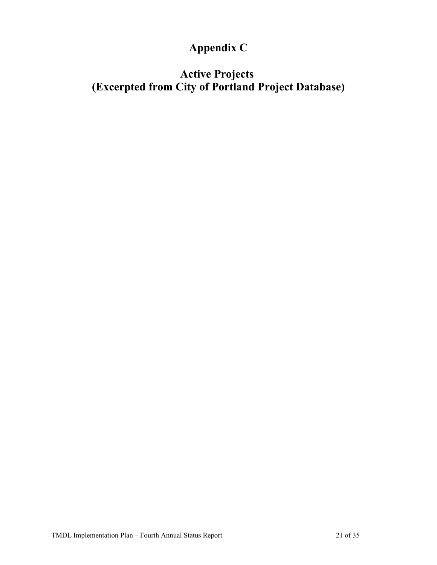# **Appendix C**

## **Active Projects (Excerpted from City of Portland Project Database)**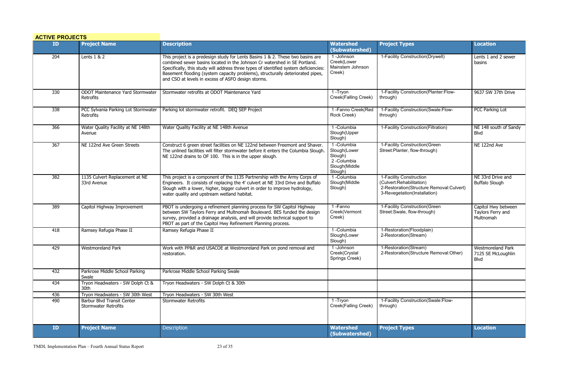| <b>ACTIVE PROJECTS</b> |                                                           |                                                                                                                                                                                                                                                                                                                                                                                             |                                                                                 |                                                                                                                                 |                                                        |
|------------------------|-----------------------------------------------------------|---------------------------------------------------------------------------------------------------------------------------------------------------------------------------------------------------------------------------------------------------------------------------------------------------------------------------------------------------------------------------------------------|---------------------------------------------------------------------------------|---------------------------------------------------------------------------------------------------------------------------------|--------------------------------------------------------|
| ID                     | <b>Project Name</b>                                       | <b>Description</b>                                                                                                                                                                                                                                                                                                                                                                          | <b>Watershed</b><br>(Subwatershed)                                              | <b>Project Types</b>                                                                                                            | <b>Location</b>                                        |
| 204                    | Lents 1 & 2                                               | This project is a predesign study for Lents Basins 1 & 2. These two basins are<br>combined sewer basins located in the Johnson Cr watershed in SE Portland.<br>Specifically, this study will address three types of identified system deficiencies:<br>Basement flooding (system capacity problems), structurally deteriorated pipes,<br>and CSO at levels in excess of ASFO design storms. | 1-Johnson<br>Creek(Lower<br>Mainstem Johnson<br>Creek)                          | 1-Facility Construction(Drywell)                                                                                                | Lents 1 and 2 sewer<br>basins                          |
| 330                    | ODOT Maintenance Yard Stormwater<br>Retrofits             | Stormwater retrofits at ODOT Maintenance Yard                                                                                                                                                                                                                                                                                                                                               | $\overline{1}$ -Tryon<br>Creek(Falling Creek)                                   | 1-Facility Construction(Planter:Flow-<br>through)                                                                               | 9637 SW 37th Drive                                     |
| 338                    | PCC Sylvania Parking Lot Stormwater<br>Retrofits          | Parking lot stormwater retrofit. DEQ SEP Project                                                                                                                                                                                                                                                                                                                                            | 1-Fanno Creek(Red<br>Rock Creek)                                                | 1-Facility Construction(Swale:Flow-<br>through)                                                                                 | PCC Parking Lot                                        |
| 366                    | Water Quality Facility at NE 148th<br>Avenue              | Water Quality Facility at NE 148th Avenue                                                                                                                                                                                                                                                                                                                                                   | 1-Columbia<br>Slough(Upper<br>Slough)                                           | 1-Facility Construction(Filtration)                                                                                             | NE 148 south of Sandy<br>Blvd                          |
| 367                    | NE 122nd Ave Green Streets                                | Construct 6 green street facilities on NE 122nd between Freemont and Shaver.<br>The unlined facilities will filter stormwater before it enters the Columbia Slough<br>NE 122nd drains to OF 100. This is in the upper slough.                                                                                                                                                               | 1-Columbia<br>Slough(Lower<br>Slough)<br>2-Columbia<br>Slough(Middle<br>Slough) | 1-Facility Construction(Green<br>Street: Planter, flow-through)                                                                 | NE 122nd Ave                                           |
| 382                    | 1135 Culvert Replacement at NE<br>33rd Avenue             | This project is a component of the 1135 Partnership with the Army Corps of<br>Engineers. It consists of replacing the 4' culvert at NE 33rd Drive and Buffalo<br>Slough with a lower, higher, bigger culvert in order to improve hydrology,<br>water quality and upstream wetland habitat.                                                                                                  | 1-Columbia<br>Slough(Middle<br>Slough)                                          | 1-Facility Construction<br>(Culvert:Rehabilitation)<br>2-Restoration(Structure Removal:Culvert)<br>3-Revegetation(Installation) | NE 33rd Drive and<br><b>Buffalo Slough</b>             |
| 389                    | Capitol Highway Improvement                               | PBOT is undergoing a refinement planning process for SW Capitol Highway<br>between SW Taylors Ferry and Multnomah Boulevard. BES funded the design<br>survey, provided a drainage analysis, and will provide technical support to<br>PBOT as part of the Capitol Hwy Refinement Planning process.                                                                                           | 1-Fanno<br>Creek(Vermont<br>Creek)                                              | 1-Facility Construction (Green<br>Street: Swale, flow-through)                                                                  | Capitol Hwy between<br>Taylors Ferry and<br>Multnomah  |
| 418                    | Ramsey Refugia Phase II                                   | Ramsey Refugia Phase II                                                                                                                                                                                                                                                                                                                                                                     | 1-Columbia<br>Slough(Lower<br>Slough)                                           | 1-Restoration(Floodplain)<br>2-Restoration(Stream)                                                                              |                                                        |
| 429                    | <b>Westmoreland Park</b>                                  | Work with PP&R and USACOE at Westmoreland Park on pond removal and<br>restoration.                                                                                                                                                                                                                                                                                                          | 1-Johnson<br>Creek(Crystal<br>Springs Creek)                                    | 1-Restoration(Stream)<br>2-Restoration(Structure Removal:Other)                                                                 | Westmoreland Park<br>7125 SE McLoughlin<br><b>Blvd</b> |
| 432                    | Parkrose Middle School Parking<br>Swale                   | Parkrose Middle School Parking Swale                                                                                                                                                                                                                                                                                                                                                        |                                                                                 |                                                                                                                                 |                                                        |
| 434                    | Tryon Headwaters - SW Dolph Ct &<br>30th                  | Tryon Headwaters - SW Dolph Ct & 30th                                                                                                                                                                                                                                                                                                                                                       |                                                                                 |                                                                                                                                 |                                                        |
| 436                    | Tryon Headwaters - SW 30th West                           | Tryon Headwaters - SW 30th West                                                                                                                                                                                                                                                                                                                                                             |                                                                                 |                                                                                                                                 |                                                        |
| 490                    | Barbur Blvd Transit Center<br><b>Stormwater Retrofits</b> | <b>Stormwater Retrofits</b>                                                                                                                                                                                                                                                                                                                                                                 | 1-Tryon<br>Creek(Falling Creek)                                                 | 1-Facility Construction(Swale:Flow-<br>through)                                                                                 |                                                        |
| ID                     | <b>Project Name</b>                                       | <b>Description</b>                                                                                                                                                                                                                                                                                                                                                                          | <b>Watershed</b><br>(Subwatershed)                                              | <b>Project Types</b>                                                                                                            | <b>Location</b>                                        |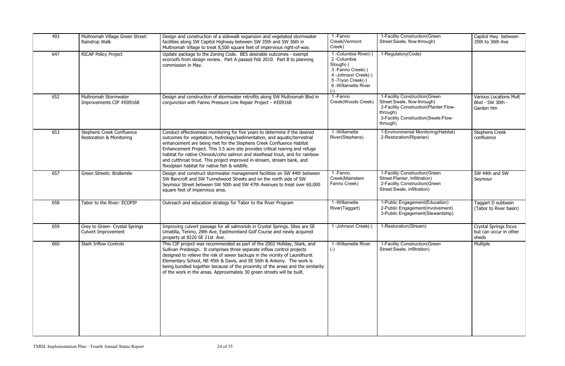| 493 | Multnomah Village Green Street:<br>Raindrop Walk             | Design and construction of a sidewalk expansion and vegetated stormwater<br>facilities along SW Capitol Highway between SW 35th and SW 36th in<br>Multnomah Village to treat 8,500 square feet of impervious right-of-way.                                                                                                                                                                                                                                                                                                 | 1-Fanno<br>Creek(Vermont<br>Creek)                                                                                                      | 1-Facility Construction (Green<br>Street: Swale, flow-through)                                                                                                         | Capitol Hwy between<br>35th to 36th Ave                        |
|-----|--------------------------------------------------------------|----------------------------------------------------------------------------------------------------------------------------------------------------------------------------------------------------------------------------------------------------------------------------------------------------------------------------------------------------------------------------------------------------------------------------------------------------------------------------------------------------------------------------|-----------------------------------------------------------------------------------------------------------------------------------------|------------------------------------------------------------------------------------------------------------------------------------------------------------------------|----------------------------------------------------------------|
| 647 | RICAP Policy Project                                         | Update package to the Zoning Code. BES desirable outcomes - exempt<br>ecoroofs from design review. Part A passed Feb 2010. Part B to planning<br>commission in May.                                                                                                                                                                                                                                                                                                                                                        | 1 - Columbia River(-)<br>2-Columbia<br>Slough(-)<br>3-Fanno Creek(-)<br>4 -Johnson Creek(-)<br>5-Tryon Creek(-)<br>6 - Willamette River | 1-Regulatory(Code)                                                                                                                                                     |                                                                |
| 652 | Multnomah Stormwater<br>Improvements CIP #E09168             | Design and construction of stormwater retrofits along SW Multnomah Blvd in<br>conjunction with Fanno Pressure Line Repair Project - #E09168                                                                                                                                                                                                                                                                                                                                                                                | 1-Fanno<br>Creek(Woods Creek)                                                                                                           | 1-Facility Construction (Green<br>Street: Swale, flow-through)<br>2-Facility Construction(Planter:Flow-<br>through)<br>3-Facility Construction(Swale:Flow-<br>through) | <b>Various Locations Mult</b><br>Blvd - SW 30th -<br>Garden Hm |
| 653 | Stephens Creek Confluence<br>Restoration & Monitoring        | Conduct effectiveness monitoring for five years to determine if the desired<br>outcomes for vegetation, hydrology/sedimentation, and aquatic/terrestrial<br>enhancement are being met for the Stephens Creek Confluence Habitat<br>Enhancement Project. This 3.5 acre site provides critical rearing and refuge<br>habitat for native Chinook/coho salmon and steelhead trout, and for rainbow<br>and cutthroat trout. This project improved in-stream, stream bank, and<br>floodplain habitat for native fish & wildlife. | 1 -Willamette<br>River(Stephens)                                                                                                        | 1-Environmental Monitoring(Habitat)<br>2-Restoration(Riparian)                                                                                                         | <b>Stephens Creek</b><br>confluence                            |
| 657 | Green Streets: Bridlemile                                    | Design and construct stormwater management facilities on SW 44th between<br>SW Bancroft and SW Tunnelwood Streets and on the north side of SW<br>Seymour Street between SW 50th and SW 47th Avenues to treat over 60,000<br>square feet of impervious area.                                                                                                                                                                                                                                                                | 1-Fanno<br>Creek(Mainstem<br>Fanno Creek)                                                                                               | 1-Facility Construction (Green<br>Street:Planter, Infiltration)<br>2-Facility Construction (Green<br>Street: Swale, infiltration)                                      | SW 44th and SW<br>Seymour                                      |
| 658 | Tabor to the River: ECOPIP                                   | Outreach and education strategy for Tabor to the River Program                                                                                                                                                                                                                                                                                                                                                                                                                                                             | 1 -Willamette<br>River(Taggart)                                                                                                         | 1-Public Engagement(Education)<br>2-Public Engagement(Involvement)<br>3-Public Engagement(Stewardship)                                                                 | Taggart D subbasin<br>(Tabor to River basin)                   |
| 659 | Grey to Green- Crystal Springs<br><b>Culvert Improvement</b> | Improving culvert passage for all salmonids in Crystal Springs. Sites are SE<br>Umatilla, Tenino, 28th Ave, Eastmoreland Golf Course and newly acquired<br>property at 8220 SE 21st Ave.                                                                                                                                                                                                                                                                                                                                   | 1-Johnson Creek(-)                                                                                                                      | 1-Restoration(Stream)                                                                                                                                                  | Crystal Springs focus<br>but can occur in other<br>sheds       |
| 660 | <b>Stark Inflow Controls</b>                                 | This CIP project was recommended as part of the 2002 Hollday, Stark, and<br>Sullivan Predesign. It comprises three separate inflow control projects<br>designed to relieve the risk of sewer backups in the vicinity of Laurelhurst<br>Elementary School, NE 45th & Davis, and SE 56th & Ankeny. The work is<br>being bundled together because of the proximity of the areas and the similarity<br>of the work in the areas. Approximately 30 green streets will be built.                                                 | 1 - Willamette River<br>$(-)$                                                                                                           | 1-Facility Construction (Green<br>Street: Swale, infiltration)                                                                                                         | Multiple                                                       |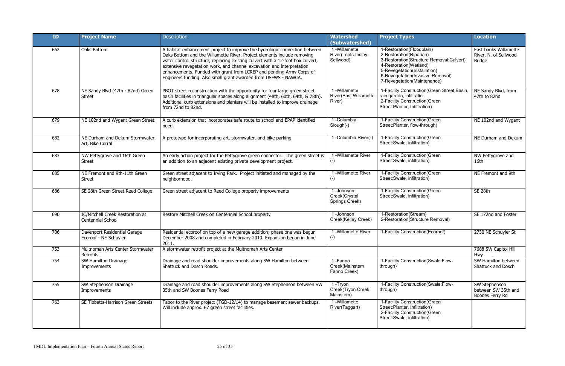| <b>ID</b> | <b>Project Name</b>                                   | <b>Description</b>                                                                                                                                                                                                                                                                                                                                                                                                                                            | <b>Watershed</b><br>(Subwatershed)                     | <b>Project Types</b>                                                                                                                                                                                                          | Location                                                        |
|-----------|-------------------------------------------------------|---------------------------------------------------------------------------------------------------------------------------------------------------------------------------------------------------------------------------------------------------------------------------------------------------------------------------------------------------------------------------------------------------------------------------------------------------------------|--------------------------------------------------------|-------------------------------------------------------------------------------------------------------------------------------------------------------------------------------------------------------------------------------|-----------------------------------------------------------------|
| 662       | Oaks Bottom                                           | A habitat enhancement project to improve the hydrologic connection between<br>Oaks Bottom and the Willamette River. Project elements include removing<br>water control structure, replacing existing culvert with a 12-foot box culvert,<br>extensive revegetation work, and channel excavation and interpretation<br>enhancements. Funded with grant from LCREP and pending Army Corps of<br>Engineers funding. Also small grant awarded from USFWS - NAWCA. | 1 - Willamette<br>River(Lents-Insley-<br>Sellwood)     | 1-Restoration(Floodplain)<br>2-Restoration(Riparian)<br>3-Restoration(Structure Removal:Culvert)<br>4-Restoration(Wetland)<br>5-Revegetation(Installation)<br>6-Revegetation(Invasive Removal)<br>7-Revegetation(Maintenance) | East banks Willamette<br>River, N. of Sellwood<br><b>Bridge</b> |
| 678       | NE Sandy Blvd (47th - 82nd) Green<br><b>Street</b>    | PBOT street reconstruction with the opportunity for four large green street<br>basin facilities in triangular spaces along alignment (48th, 60th, 64th, & 78th).<br>Additional curb extensions and planters will be installed to improve drainage<br>from 72nd to 82nd.                                                                                                                                                                                       | 1-Willamette<br><b>River(East Willamette</b><br>River) | 1-Facility Construction (Green Street: Basin<br>rain garden, infiltratio<br>2-Facility Construction(Green<br>Street: Planter, Infiltration)                                                                                   | NE Sandy Blvd, from<br>47th to 82nd                             |
| 679       | NE 102nd and Wygant Green Street                      | A curb extension that incorporates safe route to school and EPAP identified<br>need.                                                                                                                                                                                                                                                                                                                                                                          | 1-Columbia<br>Slough(-)                                | 1-Facility Construction(Green<br>Street: Planter, flow-through)                                                                                                                                                               | NE 102nd and Wygant                                             |
| 682       | NE Durham and Dekum Stormwater,<br>Art, Bike Corral   | A prototype for incorporating art, stormwater, and bike parking.                                                                                                                                                                                                                                                                                                                                                                                              | 1 - Columbia River(-)                                  | 1-Facility Construction(Green<br>Street: Swale, infiltration)                                                                                                                                                                 | NE Durham and Dekum                                             |
| 683       | NW Pettygrove and 16th Green<br><b>Street</b>         | An early action project for the Pettygrove green connector. The green street is<br>an addition to an adjacent existing private development project.                                                                                                                                                                                                                                                                                                           | 1 - Willamette River<br>$(-)$                          | 1-Facility Construction(Green<br>Street: Swale, infiltration)                                                                                                                                                                 | NW Pettygrove and<br>16th                                       |
| 685       | NE Fremont and 9th-11th Green<br><b>Street</b>        | Green street adjacent to Irving Park. Project initiated and managed by the<br>neighborhood.                                                                                                                                                                                                                                                                                                                                                                   | 1 - Willamette River<br>$(-)$                          | 1-Facility Construction (Green<br>Street: Swale, infiltration)                                                                                                                                                                | NE Fremont and 9th                                              |
| 686       | SE 28th Green Street Reed College                     | Green street adjacent to Reed College property improvements                                                                                                                                                                                                                                                                                                                                                                                                   | 1-Johnson<br>Creek(Crystal<br>Springs Creek)           | 1-Facility Construction (Green<br>Street: Swale, infiltration)                                                                                                                                                                | SE <sub>28th</sub>                                              |
| 690       | JC/Mitchell Creek Restoration at<br>Centennial School | Restore Mitchell Creek on Centennial School property                                                                                                                                                                                                                                                                                                                                                                                                          | 1-Johnson<br>Creek(Kelley Creek)                       | 1-Restoration(Stream)<br>2-Restoration(Structure Removal)                                                                                                                                                                     | SE 172nd and Foster                                             |
| 706       | Davenport Residential Garage<br>Ecoroof - NE Schuyler | Residential ecoroof on top of a new garage addition; phase one was begun<br>December 2008 and completed in February 2010. Expansion began in June<br>2011.                                                                                                                                                                                                                                                                                                    | 1 - Willamette River<br>$(-)$                          | 1-Facility Construction(Ecoroof)                                                                                                                                                                                              | 2730 NE Schuyler St                                             |
| 753       | Multnomah Arts Center Stormwater<br>Retrofits         | A stormwater retrofit project at the Multnomah Arts Center                                                                                                                                                                                                                                                                                                                                                                                                    |                                                        |                                                                                                                                                                                                                               | 7688 SW Capitol Hill<br>Hwy                                     |
| 754       | SW Hamilton Drainage<br>Improvements                  | Drainage and road shoulder improvements along SW Hamilton between<br>Shattuck and Dosch Roads.                                                                                                                                                                                                                                                                                                                                                                | 1-Fanno<br>Creek(Mainstem<br>Fanno Creek)              | 1-Facility Construction(Swale:Flow-<br>through)                                                                                                                                                                               | SW Hamilton between<br>Shattuck and Dosch                       |
| 755       | SW Stephenson Drainage<br>Improvements                | Drainage and road shoulder improvements along SW Stephenson between SW<br>35th and SW Boones Ferry Road                                                                                                                                                                                                                                                                                                                                                       | 1-Tryon<br>Creek(Tryon Creek<br>Mainstem)              | 1-Facility Construction(Swale:Flow-<br>through)                                                                                                                                                                               | SW Stephenson<br>between SW 35th and<br>Boones Ferry Rd         |
| 763       | SE Tibbetts-Harrison Green Streets                    | Tabor to the River project (TGD-12/14) to manage basement sewer backups.<br>Will include approx. 67 green street facilities.                                                                                                                                                                                                                                                                                                                                  | 1-Willamette<br>River(Taggart)                         | 1-Facility Construction(Green<br>Street: Planter, Infiltration)<br>2-Facility Construction (Green<br>Street: Swale, infiltration)                                                                                             |                                                                 |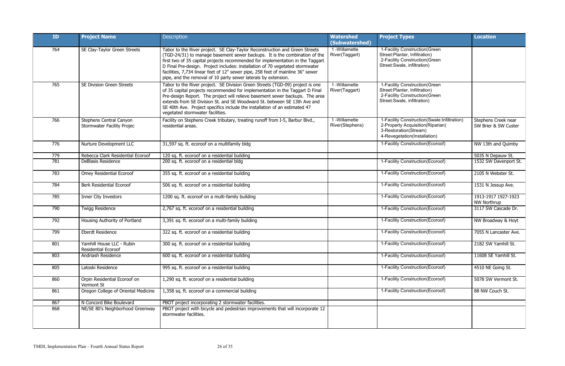| ID  | <b>Project Name</b>                                          | <b>Description</b>                                                                                                                                                                                                                                                                                                                                                                                                                                                                | <b>Watershed</b><br>(Subwatershed) | <b>Project Types</b>                                                                                                                     | <b>Location</b>                             |
|-----|--------------------------------------------------------------|-----------------------------------------------------------------------------------------------------------------------------------------------------------------------------------------------------------------------------------------------------------------------------------------------------------------------------------------------------------------------------------------------------------------------------------------------------------------------------------|------------------------------------|------------------------------------------------------------------------------------------------------------------------------------------|---------------------------------------------|
| 764 | SE Clay-Taylor Green Streets                                 | Tabor to the River project. SE Clay-Taylor Reconstruction and Green Streets<br>(TGD-24/31) to manage basement sewer backups. It is the combination of the<br>first two of 35 capital projects recommended for implementation in the Taggart<br>D Final Pre-design. Project includes: installation of 70 vegetated stormwater<br>facilities, 7,734 linear feet of 12" sewer pipe, 258 feet of mainline 36" sewer<br>pipe, and the removal of 10 party sewer laterals by extension. | 1 - Willamette<br>River(Taggart)   | 1-Facility Construction (Green<br>Street:Planter, Infiltration)<br>2-Facility Construction (Green<br>Street: Swale, infiltration)        |                                             |
| 765 | <b>SE Division Green Streets</b>                             | Tabor to the River project. SE Division Green Streets (TGD-09) project is one<br>of 35 capital projects recommended for implementation in the Taggart D Final<br>Pre-design Report. The project will relieve basement sewer backups. The area<br>extends from SE Division St. and SE Woodward St. between SE 13th Ave and<br>SE 40th Ave. Project specifics include the installation of an estimated 47<br>vegetated stormwater facilities.                                       | 1 -Willamette<br>River(Taggart)    | 1-Facility Construction (Green<br>Street:Planter, Infiltration)<br>2-Facility Construction (Green<br>Street: Swale, infiltration)        |                                             |
| 766 | Stephens Central Canyon<br><b>Stormwater Facility Projec</b> | Facility on Stephens Creek tributary, treating runoff from I-5, Barbur Blvd.,<br>residential areas.                                                                                                                                                                                                                                                                                                                                                                               | 1 - Willamette<br>River(Stephens)  | 1-Facility Construction(Swale:Infiltration)<br>2-Property Acquisition(Riparian)<br>3-Restoration(Stream)<br>4-Revegetation(Installation) | Stephens Creek near<br>SW Brier & SW Custer |
| 776 | Nurture Development LLC                                      | 31,597 sq. ft. ecoroof on a multifamily bldg                                                                                                                                                                                                                                                                                                                                                                                                                                      |                                    | 1-Facility Construction(Ecoroof)                                                                                                         | NW 13th and Quimby                          |
| 779 | Rebecca Clark Residential Ecoroof                            | 120 sq. ft. ecoroof on a residential building                                                                                                                                                                                                                                                                                                                                                                                                                                     |                                    |                                                                                                                                          | 5035 N Depauw St.                           |
| 781 | DeBlasis Residence                                           | 200 sq. ft. ecoroof on a residential bldg                                                                                                                                                                                                                                                                                                                                                                                                                                         |                                    | 1-Facility Construction(Ecoroof)                                                                                                         | 1532 SW Davenport St.                       |
| 783 | Omey Residential Ecoroof                                     | 355 sq. ft. ecoroof on a residential building                                                                                                                                                                                                                                                                                                                                                                                                                                     |                                    | 1-Facility Construction(Ecoroof)                                                                                                         | 2105 N Webster St.                          |
| 784 | <b>Berk Residential Ecoroof</b>                              | 506 sq. ft. ecoroof on a residential building                                                                                                                                                                                                                                                                                                                                                                                                                                     |                                    | 1-Facility Construction(Ecoroof)                                                                                                         | 1531 N Jessup Ave.                          |
| 785 | Inner City Investors                                         | 1200 sq. ft. ecoroof on a multi-family building                                                                                                                                                                                                                                                                                                                                                                                                                                   |                                    | 1-Facility Construction(Ecoroof)                                                                                                         | 1913-1917 1927-1923<br><b>NW Northrup</b>   |
| 790 | <b>Twigg Residence</b>                                       | 2,767 sq. ft. ecoroof on a residential building                                                                                                                                                                                                                                                                                                                                                                                                                                   |                                    | 1-Facility Construction(Ecoroof)                                                                                                         | 3117 SW Cascade Dr.                         |
| 792 | Housing Authority of Portland                                | 3,391 sq. ft. ecoroof on a multi-family building                                                                                                                                                                                                                                                                                                                                                                                                                                  |                                    | 1-Facility Construction(Ecoroof)                                                                                                         | NW Broadway & Hoyt                          |
| 799 | <b>Eberdt Residence</b>                                      | 322 sq. ft. ecoroof on a residential building                                                                                                                                                                                                                                                                                                                                                                                                                                     |                                    | 1-Facility Construction (Ecoroof)                                                                                                        | 7055 N Lancaster Ave.                       |
| 801 | Yamhill House LLC - Rubin<br><b>Residential Ecoroof</b>      | 300 sq. ft. ecoroof on a residential building                                                                                                                                                                                                                                                                                                                                                                                                                                     |                                    | 1-Facility Construction(Ecoroof)                                                                                                         | 2182 SW Yamhill St.                         |
| 803 | Andriash Residence                                           | 600 sq. ft. ecoroof on a residential building                                                                                                                                                                                                                                                                                                                                                                                                                                     |                                    | 1-Facility Construction(Ecoroof)                                                                                                         | 11608 SE Yamhill St.                        |
| 805 | Latoski Residence                                            | 995 sq. ft. ecoroof on a residential building                                                                                                                                                                                                                                                                                                                                                                                                                                     |                                    | 1-Facility Construction(Ecoroof)                                                                                                         | 4510 NE Going St.                           |
| 860 | Orpin Residential Ecoroof on<br>Vermont St                   | 1,290 sq. ft. ecoroof on a residential building                                                                                                                                                                                                                                                                                                                                                                                                                                   |                                    | 1-Facility Construction(Ecoroof)                                                                                                         | 5078 SW Vermont St.                         |
| 861 | Oregon College of Oriental Medicine                          | 1,358 sq. ft. ecoroof on a commercial building                                                                                                                                                                                                                                                                                                                                                                                                                                    |                                    | 1-Facility Construction(Ecoroof)                                                                                                         | 88 NW Couch St.                             |
| 867 | N Concord Bike Boulevard                                     | PBOT project incorporating 2 stormwater facilities.                                                                                                                                                                                                                                                                                                                                                                                                                               |                                    |                                                                                                                                          |                                             |
| 868 | NE/SE 80's Neighborhood Greenway                             | PBOT project with bicycle and pedestrian improvements that will incorporate 12<br>stormwater facilities.                                                                                                                                                                                                                                                                                                                                                                          |                                    |                                                                                                                                          |                                             |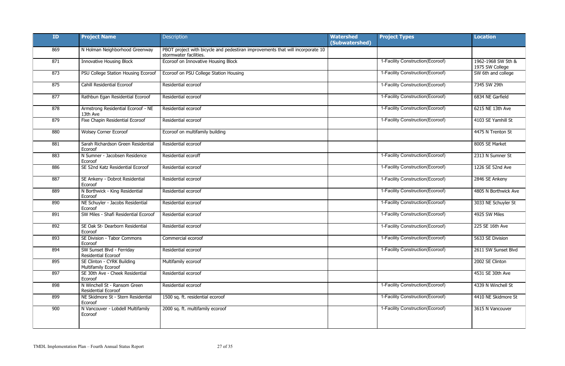| ID  | <b>Project Name</b>                                        | <b>Description</b>                                                                                       | <b>Watershed</b><br>(Subwatershed) | <b>Project Types</b>              | <b>Location</b>                       |
|-----|------------------------------------------------------------|----------------------------------------------------------------------------------------------------------|------------------------------------|-----------------------------------|---------------------------------------|
| 869 | N Holman Neighborhood Greenway                             | PBOT project with bicycle and pedestiran improvements that will incorporate 10<br>stormwater facilities. |                                    |                                   |                                       |
| 871 | <b>Innovative Housing Block</b>                            | Ecoroof on Innovative Housing Block                                                                      |                                    | 1-Facility Construction(Ecoroof)  | 1962-1968 SW 5th &<br>1975 SW College |
| 873 | PSU College Station Housing Ecoroof                        | Ecoroof on PSU College Station Housing                                                                   |                                    | 1-Facility Construction(Ecoroof)  | SW 6th and college                    |
| 875 | Cahill Residential Ecoroof                                 | Residential ecoroof                                                                                      |                                    | 1-Facility Construction(Ecoroof)  | 7345 SW 29th                          |
| 877 | Rathbun Egan Residential Ecoroof                           | Residential ecoroof                                                                                      |                                    | 1-Facility Construction(Ecoroof)  | 6834 NE Garfield                      |
| 878 | Armstrong Residential Ecoroof - NE<br>13th Ave             | Residential ecoroof                                                                                      |                                    | 1-Facility Construction(Ecoroof)  | 6215 NE 13th Ave                      |
| 879 | Fixe Chapin Residential Ecoroof                            | Residential ecoroof                                                                                      |                                    | 1-Facility Construction(Ecoroof)  | 4103 SE Yamhill St                    |
| 880 | <b>Wolsey Corner Ecoroof</b>                               | Ecoroof on multifamily building                                                                          |                                    |                                   | 4475 N Trenton St                     |
| 881 | Sarah Richardson Green Residential<br>Ecoroof              | Residential ecoroof                                                                                      |                                    |                                   | 8005 SE Market                        |
| 883 | N Sumner - Jacobsen Residence<br>Ecoroof                   | Residential ecoroff                                                                                      |                                    | 1-Facility Construction(Ecoroof)  | 2313 N Sumner St                      |
| 886 | SE 52nd Katz Residential Ecoroof                           | Residential ecoroof                                                                                      |                                    | 1-Facility Construction(Ecoroof)  | 1226 SE 52nd Ave                      |
| 887 | SE Ankeny - Dobrot Residential<br>Ecoroof                  | Residential ecoroof                                                                                      |                                    | 1-Facility Construction(Ecoroof)  | 2846 SE Ankeny                        |
| 889 | N Borthwick - King Residential<br>Ecoroof                  | Residential ecoroof                                                                                      |                                    | 1-Facility Construction(Ecoroof)  | 4805 N Borthwick Ave                  |
| 890 | NE Schuyler - Jacobs Residential<br>Ecoroof                | Residential ecoroof                                                                                      |                                    | 1-Facility Construction(Ecoroof)  | 3033 NE Schuyler St                   |
| 891 | SW Miles - Shafi Residential Ecoroof                       | Residential ecoroof                                                                                      |                                    | 1-Facility Construction(Ecoroof)  | 4925 SW Miles                         |
| 892 | SE Oak St- Dearborn Residential<br>Ecoroof                 | Residential ecoroof                                                                                      |                                    | 1-Facility Construction(Ecoroof)  | 225 SE 16th Ave                       |
| 893 | SE Division - Tabor Commons<br>Ecoroof                     | Commercial ecoroof                                                                                       |                                    | 1-Facility Construction(Ecoroof)  | 5633 SE Division                      |
| 894 | SW Sunset Blvd - Ferriday<br><b>Residential Ecoroof</b>    | Residential ecoroof                                                                                      |                                    | 1-Facility Construction(Ecoroof)  | 2611 SW Sunset Blvd                   |
| 895 | SE Clinton - CYRK Building<br><b>Multifamily Ecoroof</b>   | Multifamily ecoroof                                                                                      |                                    |                                   | 2002 SE Clinton                       |
| 897 | SE 30th Ave - Cheek Residential<br>Ecoroof                 | Residential ecoroof                                                                                      |                                    |                                   | 4531 SE 30th Ave                      |
| 898 | N Winchell St - Ransom Green<br><b>Residential Ecoroof</b> | Residential ecoroof                                                                                      |                                    | 1-Facility Construction (Ecoroof) | 4339 N Winchell St                    |
| 899 | NE Skidmore St - Stern Residential<br>Ecoroof              | 1500 sq. ft. residential ecoroof                                                                         |                                    | 1-Facility Construction(Ecoroof)  | 4410 NE Skidmore St                   |
| 900 | N Vancouver - Lobdell Multifamily<br>Ecoroof               | 2000 sq. ft. multifamily ecoroof                                                                         |                                    | 1-Facility Construction(Ecoroof)  | 3615 N Vancouver                      |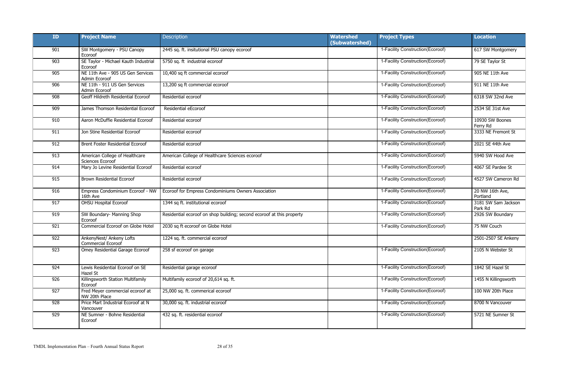| ID  | <b>Project Name</b>                                | Description                                                           | <b>Watershed</b><br>(Subwatershed) | <b>Project Types</b>              | <b>Location</b>                |
|-----|----------------------------------------------------|-----------------------------------------------------------------------|------------------------------------|-----------------------------------|--------------------------------|
| 901 | SW Montgomery - PSU Canopy<br>Ecoroof              | 2445 sq. ft. insitutional PSU canopy ecoroof                          |                                    | 1-Facility Construction(Ecoroof)  | 617 SW Montgomery              |
| 903 | SE Taylor - Michael Kauth Industrial<br>Ecoroof    | 5750 sq. ft industrial ecoroof                                        |                                    | 1-Facility Construction(Ecoroof)  | 79 SE Taylor St                |
| 905 | NE 11th Ave - 905 US Gen Services<br>Admin Ecoroof | 10,400 sq ft commercial ecoroof                                       |                                    | 1-Facility Construction(Ecoroof)  | 905 NE 11th Ave                |
| 906 | NE 11th - 911 US Gen Services<br>Admin Ecoroof     | 13,200 sq ft commercial ecoroof                                       |                                    | 1-Facility Construction(Ecoroof)  | 911 NE 11th Ave                |
| 908 | Geoff Hildreth Residential Ecoroof                 | Residential ecoroof                                                   |                                    | 1-Facility Construction(Ecoroof)  | 6318 SW 32nd Ave               |
| 909 | James Thomson Residential Ecoroof                  | Residential eEcoroof                                                  |                                    | 1-Facility Construction(Ecoroof)  | 2534 SE 31st Ave               |
| 910 | Aaron McDuffie Residential Ecoroof                 | Residential ecoroof                                                   |                                    | 1-Facility Construction(Ecoroof)  | 10930 SW Boones<br>Ferry Rd    |
| 911 | Jon Stine Residential Ecoroof                      | Residential ecoroof                                                   |                                    | 1-Facility Construction(Ecoroof)  | 3333 NE Fremont St             |
| 912 | Brent Foster Residential Ecoroof                   | Residential ecoroof                                                   |                                    | 1-Facility Construction (Ecoroof) | 2021 SE 44th Ave               |
| 913 | American College of Healthcare<br>Sciences Ecoroof | American College of Healthcare Sciences ecoroof                       |                                    | 1-Facility Construction(Ecoroof)  | 5940 SW Hood Ave               |
| 914 | Mary Jo Levine Residential Ecoroof                 | Residential ecoroof                                                   |                                    | 1-Facility Construction(Ecoroof)  | 4067 SE Pardee St              |
| 915 | <b>Brown Residential Ecoroof</b>                   | Residential ecoroof                                                   |                                    | 1-Facility Construction(Ecoroof)  | 4527 SW Cameron Rd             |
| 916 | Empress Condominium Ecoroof - NW<br>16th Ave       | Ecoroof for Empress Condominiums Owners Association                   |                                    | 1-Facility Construction (Ecoroof) | 20 NW 16th Ave,<br>Portland    |
| 917 | <b>OHSU Hospital Ecoroof</b>                       | 1344 sq ft. institutional ecoroof                                     |                                    | 1-Facility Construction(Ecoroof)  | 3181 SW Sam Jackson<br>Park Rd |
| 919 | SW Boundary- Manning Shop<br>Ecoroof               | Residential ecoroof on shop building; second ecoroof at this property |                                    | 1-Facility Construction(Ecoroof)  | 2926 SW Boundary               |
| 921 | Commercial Ecoroof on Globe Hotel                  | 2030 sq ft ecoroof on Globe Hotel                                     |                                    | 1-Facility Construction(Ecoroof)  | 75 NW Couch                    |
| 922 | AnkenyNest/ Ankeny Lofts<br>Commercial Ecoroof     | 1224 sq. ft. commercial ecoroof                                       |                                    |                                   | 2501-2507 SE Ankeny            |
| 923 | Omey Residential Garage Ecoroof                    | 258 sf ecoroof on garage                                              |                                    | 1-Facility Construction(Ecoroof)  | 2105 N Webster St              |
| 924 | Lewis Residential Ecoroof on SE<br>Hazel St        | Residential garage ecoroof                                            |                                    | 1-Facility Construction(Ecoroof)  | 1842 SE Hazel St               |
| 926 | Killingsworth Station Multifamily<br>Ecoroof       | Multifamily ecoroof of 20,614 sq. ft.                                 |                                    | 1-Facility Construction(Ecoroof)  | 1455 N Killingsworth           |
| 927 | Fred Meyer commercial ecoroof at<br>NW 20th Place  | 25,000 sq. ft. commerical ecoroof                                     |                                    | 1-Facility Construction(Ecoroof)  | 100 NW 20th Place              |
| 928 | Price Mart Industrial Ecoroof at N<br>Vancouver    | 30,000 sq. ft. industrial ecoroof                                     |                                    | 1-Facility Construction(Ecoroof)  | 8700 N Vancouver               |
| 929 | NE Sumner - Bohne Residential<br>Ecoroof           | 432 sq. ft. residential ecoroof                                       |                                    | 1-Facility Construction(Ecoroof)  | 5721 NE Sumner St              |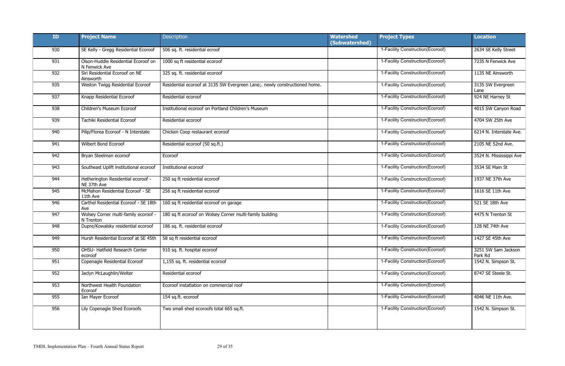| ID  | <b>Project Name</b>                                  | Description                                                                | <b>Watershed</b><br>(Subwatershed) | <b>Project Types</b>              | <b>Location</b>                |
|-----|------------------------------------------------------|----------------------------------------------------------------------------|------------------------------------|-----------------------------------|--------------------------------|
| 930 | SE Kelly - Gregg Residential Ecoroof                 | 506 sq. ft. residential ecroof                                             |                                    | 1-Facility Construction(Ecoroof)  | 2634 SE Kelly Street           |
| 931 | Olson-Huddle Residential Ecoroof on<br>N Fenwick Ave | 1000 sq ft residential ecoroof                                             |                                    | 1-Facility Construction(Ecoroof)  | 7235 N Fenwick Ave             |
| 932 | Siri Residential Ecoroof on NE<br>Ainsworth          | 325 sq. ft. residential ecoroof                                            |                                    | 1-Facility Construction(Ecoroof)  | 1135 NE Ainsworth              |
| 935 | Weston Twigg Residential Ecoroof                     | Residential ecoroof at 3135 SW Evergreen Lane;. newly constructioned home. |                                    | 1-Facility Construction(Ecoroof)  | 3135 SW Evergreen<br>Lane      |
| 937 | Knapp Residential Ecoroof                            | Residential ecoroof                                                        |                                    | 1-Facility Construction(Ecoroof)  | 924 NE Harney St               |
| 938 | Children's Museum Ecoroof                            | Institutional ecoroof on Portland Children's Museum                        |                                    | 1-Facility Construction(Ecoroof)  | 4015 SW Canyon Road            |
| 939 | Tachiki Residential Ecoroof                          | Residential ecoroof                                                        |                                    | 1-Facility Construction(Ecoroof)  | 4704 SW 25th Ave               |
| 940 | Pilip/Florea Ecoroof - N Interstate                  | Chicken Coop restaurant ecoroof                                            |                                    | 1-Facility Construction(Ecoroof)  | 6214 N. Interstate Ave.        |
| 941 | Wilbert Bond Ecoroof                                 | Residential ecoroof (50 sq.ft.)                                            |                                    | 1-Facility Construction(Ecoroof)  | 2105 NE 52nd Ave.              |
| 942 | Bryan Steelman ecoroof                               | Ecoroof                                                                    |                                    | 1-Facility Construction(Ecoroof)  | 3524 N. Mississippi Ave        |
| 943 | Southeast Uplift institutional ecoroof               | Institutional ecoroof                                                      |                                    | 1-Facility Construction(Ecoroof)  | 3534 SE Main St                |
| 944 | Hetherington Residential ecoroof -<br>NE 37th Ave    | 250 sq ft residential ecoroof                                              |                                    | 1-Facility Construction(Ecoroof)  | 1937 NE 37th Ave               |
| 945 | McMahon Residential Ecoroof - SE<br>11th Ave         | 256 sq ft residential ecoroof                                              |                                    | 1-Facility Construction(Ecoroof)  | 1616 SE 11th Ave               |
| 946 | Carthel Residential Ecoroof - SE 18th<br>Ave         | 160 sq ft residential ecoroof on garage                                    |                                    | 1-Facility Construction(Ecoroof)  | 521 SE 18th Ave                |
| 947 | Wolsey Corner multi-family ecoroof -<br>N Trenton    | 180 sq ft ecoroof on Wolsey Corner multi-family building                   |                                    | 1-Facility Construction(Ecoroof)  | 4475 N Trenton St              |
| 948 | Dupre/Kowalsky residential ecoroof                   | 186 sq. ft. residential ecoroof                                            |                                    | 1-Facility Construction(Ecoroof)  | 128 NE 74th Ave                |
| 949 | Hursh Residential Ecoroof at SE 45th                 | 58 sq ft residential ecoroof                                               |                                    | 1-Facility Construction (Ecoroof) | 1427 SE 45th Ave               |
| 950 | OHSU- Hatfield Research Center<br>ecoroof            | 910 sq. ft. hospital ecoroof                                               |                                    | 1-Facility Construction(Ecoroof)  | 3251 SW Sam Jackson<br>Park Rd |
| 951 | Copenagle Residential Ecoroof                        | 1,155 sq. ft. residential ecoroof                                          |                                    | 1-Facility Construction(Ecoroof)  | 1542 N. Simpson St.            |
| 952 | Jaclyn McLaughlin/Welter                             | Residential ecoroof                                                        |                                    | 1-Facility Construction(Ecoroof)  | 8747 SE Steele St.             |
| 953 | Northwest Health Foundation<br>Ecoroof               | Ecoroof instatlation on commercial roof                                    |                                    | 1-Facility Construction(Ecoroof)  |                                |
| 955 | Ian Mayer Ecoroof                                    | 154 sq.ft. ecoroof                                                         |                                    | 1-Facility Construction(Ecoroof)  | 4046 NE 11th Ave.              |
| 956 | Lily Copenagle Shed Ecoroofs                         | Two small shed ecoroofs total 665 sq.ft.                                   |                                    | 1-Facility Construction(Ecoroof)  | 1542 N. Simpson St.            |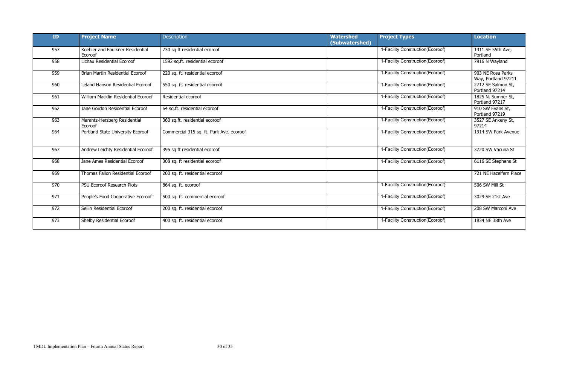| ID  | <b>Project Name</b>                         | <b>Description</b>                       | <b>Watershed</b><br>(Subwatershed) | <b>Project Types</b>              | <b>Location</b>                          |
|-----|---------------------------------------------|------------------------------------------|------------------------------------|-----------------------------------|------------------------------------------|
| 957 | Koehler and Faulkner Residential<br>Ecoroof | 730 sq ft residential ecoroof            |                                    | 1-Facility Construction(Ecoroof)  | 1411 SE 55th Ave,<br>Portland            |
| 958 | Lichau Residential Ecoroof                  | 1592 sq.ft. residential ecoroof          |                                    | 1-Facility Construction(Ecoroof)  | 7916 N Wayland                           |
| 959 | Brian Martin Residential Ecoroof            | 220 sq. ft. residential ecoroof          |                                    | 1-Facility Construction(Ecoroof)  | 903 NE Rosa Parks<br>Way, Portland 97211 |
| 960 | Leland Hanson Residential Ecoroof           | 550 sq. ft. residential ecoroof          |                                    | 1-Facility Construction(Ecoroof)  | 2712 SE Salmon St,<br>Portland 97214     |
| 961 | William Macklin Residential Ecoroof         | Residential ecoroof                      |                                    | 1-Facility Construction(Ecoroof)  | 1825 N. Sumner St,<br>Portland 97217     |
| 962 | Jane Gordon Residential Ecoroof             | 64 sq.ft. residential ecoroof            |                                    | 1-Facility Construction(Ecoroof)  | 910 SW Evans St,<br>Portland 97219       |
| 963 | Marantz-Herzberg Residential<br>Ecoroof     | 360 sq.ft. residential ecoroof           |                                    | 1-Facility Construction(Ecoroof)  | 3527 SE Ankeny St,<br>97214              |
| 964 | Portland State University Ecoroof           | Commercial 315 sq. ft. Park Ave. ecoroof |                                    | 1-Facility Construction(Ecoroof)  | 1914 SW Park Avenue                      |
| 967 | Andrew Leichty Residential Ecoroof          | 395 sq ft residential ecoroof            |                                    | 1-Facility Construction(Ecoroof)  | 3720 SW Vacuna St                        |
| 968 | Jane Ames Residential Ecoroof               | 308 sq. ft residential ecoroof           |                                    | 1-Facility Construction(Ecoroof)  | 6116 SE Stephens St                      |
| 969 | Thomas Fallon Residential Ecoroof           | 200 sq. ft. residential ecoroof          |                                    |                                   | 721 NE Hazelfern Place                   |
| 970 | PSU Ecoroof Research Plots                  | 864 sq. ft. ecoroof                      |                                    | 1-Facility Construction(Ecoroof)  | 506 SW Mill St                           |
| 971 | People's Food Cooperative Ecoroof           | 500 sq. ft. commercial ecoroof           |                                    | 1-Facility Construction (Ecoroof) | 3029 SE 21st Ave                         |
| 972 | Sellin Residential Ecoroof                  | 200 sq. ft. residential ecoroof          |                                    | 1-Facility Construction(Ecoroof)  | 208 SW Marconi Ave                       |
| 973 | Shelby Residential Ecoroof                  | 400 sq. ft. residential ecoroof          |                                    | 1-Facility Construction(Ecoroof)  | 1834 NE 38th Ave                         |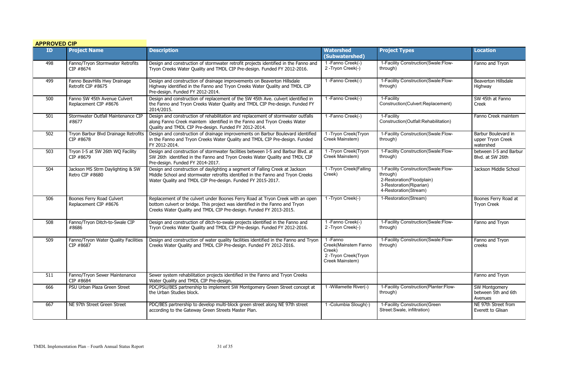| <b>APPROVED CIP</b> |                                                       |                                                                                                                                                                                                                                      |                                                                                     |                                                                                                                                  |                                                       |
|---------------------|-------------------------------------------------------|--------------------------------------------------------------------------------------------------------------------------------------------------------------------------------------------------------------------------------------|-------------------------------------------------------------------------------------|----------------------------------------------------------------------------------------------------------------------------------|-------------------------------------------------------|
| ID <sub>1</sub>     | <b>Project Name</b>                                   | <b>Description</b>                                                                                                                                                                                                                   | <b>Watershed</b><br>(Subwatershed)                                                  | <b>Project Types</b>                                                                                                             | <b>Location</b>                                       |
| 498                 | Fanno/Tryon Stormwater Retrofits<br>CIP #8674         | Design and construction of stormwater retrofit projects identified in the Fanno and<br>Tryon Creeks Water Quality and TMDL CIP Pre-design. Funded FY 2012-2016.                                                                      | 1-Fanno Creek(-)<br>2-Tryon Creek(-)                                                | 1-Facility Construction(Swale:Flow-<br>through)                                                                                  | Fanno and Tryon                                       |
| 499                 | Fanno BeavHills Hwy Drainage<br>Retrofit CIP #8675    | Design and construction of drainage improvements on Beaverton Hillsdale<br>Highway identified in the Fanno and Tryon Creeks Water Quality and TMDL CIP<br>Pre-design. Funded FY 2012-2014.                                           | 1-Fanno Creek(-)                                                                    | 1-Facility Construction(Swale:Flow-<br>through)                                                                                  | <b>Beaverton Hillsdale</b><br>Highway                 |
| 500                 | Fanno SW 45th Avenue Culvert<br>Replacement CIP #8676 | Design and construction of replacement of the SW 45th Ave. culvert identified in<br>the Fanno and Tryon Creeks Water Quality and TMDL CIP Pre-design. Funded FY<br>2014/2015.                                                        | 1-Fanno Creek(-)                                                                    | 1-Facility<br>Construction(Culvert:Replacement)                                                                                  | SW 45th at Fanno<br>Creek                             |
| 501                 | Stormwater Outfall Maintenance CIP<br>#8677           | Design and construction of rehabilitation and replacement of stormwater outfalls<br>along Fanno Creek maintem identified in the Fanno and Tryon Creeks Water<br>Quality and TMDL CIP Pre-design. Funded FY 2012-2014.                | 1-Fanno Creek(-)                                                                    | 1-Facility<br>Construction(Outfall:Rehabilitation)                                                                               | Fanno Creek maintem                                   |
| 502                 | Tryon Barbur Blvd Drainage Retrofits<br>CIP #8678     | Design and construction of drainage improvements on Barbur Boulevard identified<br>in the Fanno and Tryon Creeks Water Quality and TMDL CIP Pre-design. Funded<br>FY 2012-2014.                                                      | 1-Tryon Creek(Tryon<br>Creek Mainstem)                                              | 1-Facility Construction(Swale:Flow-<br>through)                                                                                  | Barbur Boulevard in<br>upper Tryon Creek<br>watershed |
| 503                 | Tryon I-5 at SW 26th WQ Facility<br>CIP #8679         | Design and construction of stormwater facilities between I-5 and Barbur Blvd. at<br>SW 26th identified in the Fanno and Tryon Creeks Water Quality and TMDL CIP<br>Pre-design. Funded FY 2014-2017.                                  | 1-Tryon Creek(Tryon<br>Creek Mainstem)                                              | 1-Facility Construction(Swale:Flow-<br>through)                                                                                  | between I-5 and Barbur<br>Blvd. at SW 26th            |
| 504                 | Jackson MS Strm Daylighting & SW<br>Retro CIP #8680   | Design and construction of daylighting a segment of Falling Creek at Jackson<br>Middle School and stormwater retrofits identified in the Fanno and Tryon Creeks<br>Water Quality and TMDL CIP Pre-design. Funded FY 2015-2017.       | 1-Tryon Creek(Falling<br>Creek)                                                     | 1-Facility Construction(Swale:Flow-<br>through)<br>2-Restoration(Floodplain)<br>3-Restoration(Riparian)<br>4-Restoration(Stream) | Jackson Middle School                                 |
| 506                 | Boones Ferry Road Culvert<br>Replacement CIP #8676    | Replacement of the culvert under Boones Ferry Road at Tryon Creek with an open<br>bottom culvert or bridge. This project was identified in the Fanno and Tryon<br>Creeks Water Quality and TMDL CIP Pre-design. Funded FY 2013-2015. | 1-Tryon Creek(-)                                                                    | 1-Restoration(Stream)                                                                                                            | Boones Ferry Road at<br><b>Tryon Creek</b>            |
| 508                 | Fanno/Tryon Ditch-to-Swale CIP<br>#8686               | Design and construction of ditch-to-swale projects identified in the Fanno and<br>Tryon Creeks Water Quality and TMDL CIP Pre-design. Funded FY 2012-2016.                                                                           | 1-Fanno Creek(-)<br>2-Tryon Creek(-)                                                | 1-Facility Construction(Swale:Flow-<br>through)                                                                                  | Fanno and Tryon                                       |
| 509                 | Fanno/Tryon Water Quality Facilities<br>CIP #8687     | Design and construction of water quality facilities identified in the Fanno and Tryon<br>Creeks Water Quality and TMDL CIP Pre-design. Funded FY 2012-2016.                                                                          | 1-Fanno<br>Creek(Mainstem Fanno<br>Creek)<br>2-Tryon Creek(Tryon<br>Creek Mainstem) | 1-Facility Construction(Swale:Flow-<br>through)                                                                                  | Fanno and Tryon<br>creeks                             |
| 511                 | Fanno/Tryon Sewer Maintenance<br>CIP #8684            | Sewer system rehabilitation projects identified in the Fanno and Tryon Creeks<br>Water Quality and TMDL CIP Pre-design.                                                                                                              |                                                                                     |                                                                                                                                  | Fanno and Tryon                                       |
| 666                 | PSU Urban Plaza Green Street                          | PDC/PSU/BES partnership to implement SW Montgomery Green Street concept at<br>the Urban Studies block.                                                                                                                               | 1 - Willamette River(-)                                                             | 1-Facility Construction(Planter:Flow-<br>through)                                                                                | SW Montgomery<br>between 5th and 6th<br>Avenues       |
| 667                 | NE 97th Street Green Street                           | PDC/BES partnership to develop multi-block green street along NE 97th street<br>according to the Gateway Green Streets Master Plan.                                                                                                  | 1 -Columbia Slough(-)                                                               | 1-Facility Construction (Green<br>Street: Swale, infiltration)                                                                   | NE 97th Street from<br>Everett to Glisan              |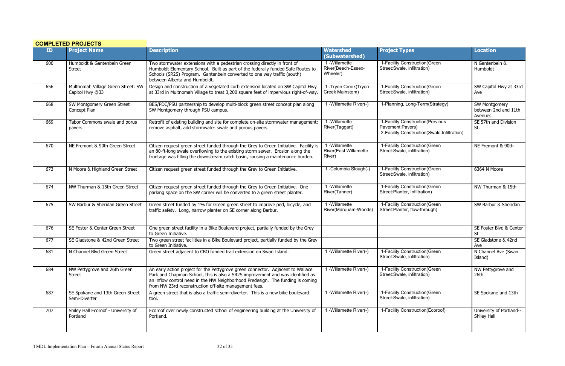|     | <b>COMPLETED PROJECTS</b>                             |                                                                                                                                                                                                                                                                                                              |                                                        |                                                                                                     |                                                  |
|-----|-------------------------------------------------------|--------------------------------------------------------------------------------------------------------------------------------------------------------------------------------------------------------------------------------------------------------------------------------------------------------------|--------------------------------------------------------|-----------------------------------------------------------------------------------------------------|--------------------------------------------------|
| ID  | <b>Project Name</b>                                   | <b>Description</b>                                                                                                                                                                                                                                                                                           | <b>Watershed</b><br>(Subwatershed)                     | <b>Project Types</b>                                                                                | <b>Location</b>                                  |
| 600 | Humboldt & Gantenbein Green<br><b>Street</b>          | Two stormwater extensions with a pedestrian crossing directly in front of<br>Humboldt Elementary School. Built as part of the federally funded Safe Routes to<br>Schools (SR2S) Program. Gantenbein converted to one way traffic (south)<br>between Alberta and Humboldt.                                    | 1 - Willamette<br>River(Beech-Essex-<br>Wheeler)       | 1-Facility Construction(Green<br>Street:Swale, infiltration)                                        | N Gantenbein &<br>Humboldt                       |
| 656 | Multnomah Village Green Street: SW<br>Capitol Hwy @33 | Design and construction of a vegetated curb extension located on SW Capitol Hwy<br>at 33rd in Multnomah Village to treat 3,200 square feet of impervious right-of-way.                                                                                                                                       | 1-Tryon Creek(Tryon<br>Creek Mainstem)                 | 1-Facility Construction(Green<br>Street:Swale, infiltration)                                        | SW Capitol Hwy at 33rd<br>Ave                    |
| 668 | SW Montgomery Green Street<br>Concept Plan            | BES/PDC/PSU partnership to develop multi-block green street concept plan along<br>SW Montgomery through PSU campus.                                                                                                                                                                                          | 1 - Willamette River(-)                                | 1-Planning, Long-Term(Strategy)                                                                     | SW Montgomery<br>between 2nd and 11th<br>Avenues |
| 669 | Tabor Commons swale and porus<br>pavers               | Retrofit of existing building and site for complete on-site stormwater management;<br>remove asphalt, add stormwater swale and porous pavers.                                                                                                                                                                | 1 - Willamette<br>River(Taggart)                       | 1-Facility Construction(Pervious<br>Pavement:Pavers)<br>2-Facility Construction(Swale:Infiltration) | SE 57th and Division<br>St.                      |
| 670 | NE Fremont & 90th Green Street                        | Citizen request green street funded through the Grey to Green Initiative. Facility is<br>an 80-ft-long swale overflowing to the existing storm sewer. Erosion along the<br>frontage was filling the downstream catch basin, causing a maintenance burden.                                                    | 1-Willamette<br><b>River(East Willamette</b><br>River) | 1-Facility Construction(Green<br>Street:Swale, infiltration)                                        | NE Fremont & 90th                                |
| 673 | N Moore & Highland Green Street                       | Citizen request green street funded through the Grey to Green Initiative.                                                                                                                                                                                                                                    | 1 -Columbia Slough(-)                                  | 1-Facility Construction(Green<br>Street:Swale, infiltration)                                        | 6364 N Moore                                     |
| 674 | NW Thurman & 15th Green Street                        | Citizen request green street funded through the Grey to Green Initiative. One<br>parking space on the SW corner will be converted to a green street planter.                                                                                                                                                 | 1 - Willamette<br>River(Tanner)                        | 1-Facility Construction(Green<br>Street:Planter, Infiltration)                                      | NW Thurman & 15th                                |
| 675 | SW Barbur & Sheridan Green Street                     | Green street funded by 1% for Green green street to improve ped, bicycle, and<br>traffic safety. Long, narrow planter on SE corner along Barbur.                                                                                                                                                             | 1 - Willamette<br>River(Marquam-Woods)                 | 1-Facility Construction(Green<br>Street:Planter, flow-through)                                      | SW Barbur & Sheridan                             |
| 676 | SE Foster & Center Green Street                       | One green street facility in a Bike Boulevard project, partially funded by the Grey<br>to Green Initiative.                                                                                                                                                                                                  |                                                        |                                                                                                     | SE Foster Blvd & Center<br><b>St</b>             |
| 677 | SE Gladstone & 42nd Green Street                      | Two green street facilities in a Bike Boulevard project, partially funded by the Grey<br>to Green Initiative.                                                                                                                                                                                                |                                                        |                                                                                                     | SE Gladstone & 42nd<br>Ave                       |
| 681 | N Channel Blvd Green Street                           | Green street adjacent to CBO funded trail extension on Swan Island.                                                                                                                                                                                                                                          | 1 -Willamette River(-)                                 | 1-Facility Construction(Green<br>Street:Swale, infiltration)                                        | N Channel Ave (Swan<br>Island)                   |
| 684 | NW Pettygrove and 26th Green<br>Street                | An early action project for the Pettygrove green connector. Adjacent to Wallace<br>Park and Chapman School, this is also a SR2S improvement and was identified as<br>an inflow control need in the NW Neighborhood Predesign. The funding is coming<br>from NW 23rd reconstruction off-site management fees. | 1 -Willamette River(-)                                 | 1-Facility Construction(Green<br>Street:Swale, infiltration)                                        | NW Pettygrove and<br>26th                        |
| 687 | SE Spokane and 13th Green Street<br>Semi-Diverter     | A green street that is also a traffic semi-diverter. This is a new bike boulevard<br>tool.                                                                                                                                                                                                                   | 1 - Willamette River(-)                                | 1-Facility Construction(Green<br>Street:Swale, infiltration)                                        | SE Spokane and 13th                              |
| 707 | Shiley Hall Ecoroof - University of<br>Portland       | Ecoroof over newly constructed school of engineering building at the University of<br>Portland.                                                                                                                                                                                                              | 1 -Willamette River(-)                                 | 1-Facility Construction(Ecoroof)                                                                    | University of Portland--<br>Shiley Hall          |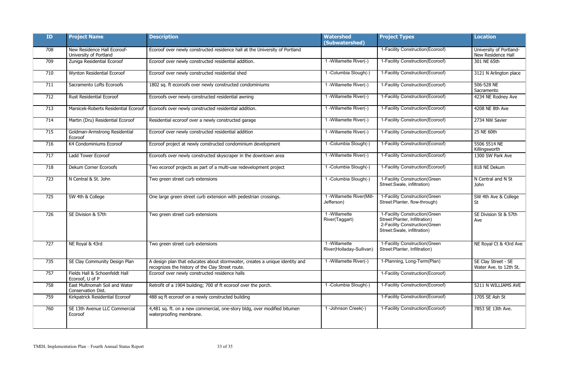| <b>ID</b> | <b>Project Name</b>                                   | <b>Description</b>                                                                                                              | <b>Watershed</b><br>(Subwatershed)       | <b>Project Types</b>                                                                                                            | <b>Location</b>                               |
|-----------|-------------------------------------------------------|---------------------------------------------------------------------------------------------------------------------------------|------------------------------------------|---------------------------------------------------------------------------------------------------------------------------------|-----------------------------------------------|
| 708       | New Residence Hall Ecoroof-<br>University of Portland | Ecoroof over newly constructed residence hall at the University of Portland                                                     |                                          | 1-Facility Construction(Ecoroof)                                                                                                | University of Portland-<br>New Residence Hall |
| 709       | Zuniga Residential Ecoroof                            | Ecoroof over newly constructed residential addition.                                                                            | 1 - Willamette River(-)                  | 1-Facility Construction(Ecoroof)                                                                                                | 301 NE 65th                                   |
| 710       | Wynton Residential Ecoroof                            | Ecoroof over newly constructed residential shed                                                                                 | 1 -Columbia Slough(-)                    | 1-Facility Construction(Ecoroof)                                                                                                | 3121 N Arlington place                        |
| 711       | Sacramento Lofts Ecoroofs                             | 1802 sq. ft ecoroofs over newly constructed condominiums                                                                        | 1 - Willamette River(-)                  | 1-Facility Construction(Ecoroof)                                                                                                | 506-528 NE<br>Sacramento                      |
| 712       | <b>Rust Residential Ecoroof</b>                       | Ecoroofs over newly constructed residential awning                                                                              | 1 - Willamette River(-)                  | 1-Facility Construction (Ecoroof)                                                                                               | 4234 NE Rodney Ave                            |
| 713       | Marsicek-Roberts Residential Ecoroof                  | Ecoroofs over newly constructed residential addition.                                                                           | 1 - Willamette River(-)                  | 1-Facility Construction(Ecoroof)                                                                                                | 4208 NE 8th Ave                               |
| 714       | Martin (Dru) Residential Ecoroof                      | Residential ecoroof over a newly constructed garage                                                                             | 1 - Willamette River(-)                  | 1-Facility Construction(Ecoroof)                                                                                                | 2734 NW Savier                                |
| 715       | Goldman-Armstrong Residential<br>Ecoroof              | Ecoroof over newly constructed residential addition                                                                             | 1 - Willamette River(-)                  | 1-Facility Construction(Ecoroof)                                                                                                | 25 NE 60th                                    |
| 716       | K4 Condominiums Ecoroof                               | Ecoroof project at newly constructed condominium development                                                                    | 1 -Columbia Slough(-)                    | 1-Facility Construction(Ecoroof)                                                                                                | 5506 5514 NE<br>Killingsworth                 |
| 717       | Ladd Tower Ecoroof                                    | Ecoroofs over newly constructed skyscraper in the downtown area                                                                 | 1 - Willamette River(-)                  | 1-Facility Construction(Ecoroof)                                                                                                | 1300 SW Park Ave                              |
| 718       | Dekum Corner Ecoroofs                                 | Two ecoroof projects as part of a multi-use redevelopment project                                                               | 1 -Columbia Slough(-)                    | 1-Facility Construction(Ecoroof)                                                                                                | 818 NE Dekum                                  |
| 723       | N Central & St. John                                  | Two green street curb extensions                                                                                                | 1-Columbia Slough(-)                     | 1-Facility Construction(Green<br>Street:Swale, infiltration)                                                                    | N Central and N St<br>John                    |
| 725       | SW 4th & College                                      | One large green street curb extension with pedestrian crossings.                                                                | 1 - Willamette River(Mill-<br>Jefferson) | 1-Facility Construction(Green<br>Street:Planter, flow-through)                                                                  | SW 4th Ave & College<br>St                    |
| 726       | SE Division & 57th                                    | Two green street curb extensions                                                                                                | 1 - Willamette<br>River(Taggart)         | 1-Facility Construction(Green<br>Street:Planter, Infiltration)<br>2-Facility Construction (Green<br>Street:Swale, infiltration) | SE Division St & 57th<br>Ave                  |
| 727       | NE Royal & 43rd                                       | Two green street curb extensions                                                                                                | 1-Willamette<br>River(Holladay-Sullivan) | 1-Facility Construction(Green<br>Street:Planter, Infiltration)                                                                  | NE Royal Ct & 43rd Ave                        |
| 735       | SE Clay Community Design Plan                         | A design plan that educates about stormwater, creates a unique identity and<br>recognizes the history of the Clay Street route. | 1 - Willamette River(-)                  | 1-Planning, Long-Term(Plan)                                                                                                     | SE Clay Street - SE<br>Water Ave. to 12th St. |
| 757       | Fields Hall & Schoenfeldt Hall<br>Ecoroof, U of P     | Ecoroof over newly constructed residence halls                                                                                  |                                          | 1-Facility Construction(Ecoroof)                                                                                                |                                               |
| 758       | East Multnomah Soil and Water<br>Conservation Dist.   | Retrofit of a 1904 building; 700 sf ft ecoroof over the porch.                                                                  | 1 -Columbia Slough(-)                    | 1-Facility Construction (Ecoroof)                                                                                               | 5211 N WILLIAMS AVE                           |
| 759       | Kirkpatrick Residential Ecoroof                       | 488 sq ft ecoroof on a newly constructed building                                                                               |                                          | 1-Facility Construction(Ecoroof)                                                                                                | 1705 SE Ash St                                |
| 760       | SE 13th Avenue LLC Commercial<br>Ecoroof              | 4,481 sq. ft. on a new commercial, one-story bldg, over modified bitumen<br>waterproofing membrane.                             | 1-Johnson Creek(-)                       | 1-Facility Construction(Ecoroof)                                                                                                | 7853 SE 13th Ave.                             |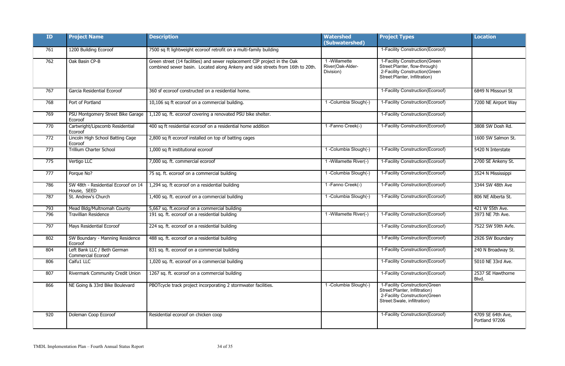| ID <sub>1</sub> | <b>Project Name</b>                                      | <b>Description</b>                                                                                                                                          | <b>Watershed</b><br>(Subwatershed)            | <b>Project Types</b>                                                                                                               | <b>Location</b>                     |
|-----------------|----------------------------------------------------------|-------------------------------------------------------------------------------------------------------------------------------------------------------------|-----------------------------------------------|------------------------------------------------------------------------------------------------------------------------------------|-------------------------------------|
| 761             | 1200 Building Ecoroof                                    | 7500 sq ft lightweight ecoroof retrofit on a multi-family building                                                                                          |                                               | 1-Facility Construction (Ecoroof)                                                                                                  |                                     |
| 762             | Oak Basin CP-B                                           | Green street (14 facilities) and sewer replacement CIP project in the Oak<br>combined sewer basin. Located along Ankeny and side streets from 16th to 20th. | 1-Willamette<br>River(Oak-Alder-<br>Division) | 1-Facility Construction(Green<br>Street:Planter, flow-through)<br>2-Facility Construction (Green<br>Street: Planter, Infiltration) |                                     |
| 767             | Garcia Residential Ecoroof                               | 360 sf ecoroof constructed on a residential home.                                                                                                           |                                               | 1-Facility Construction(Ecoroof)                                                                                                   | 6849 N Missouri St                  |
| 768             | Port of Portland                                         | 10,106 sq ft ecoroof on a commercial building.                                                                                                              | 1 -Columbia Slough(-)                         | 1-Facility Construction (Ecoroof)                                                                                                  | 7200 NE Airport Way                 |
| 769             | PSU Montgomery Street Bike Garage<br>Ecoroof             | 1,120 sq. ft. ecoroof covering a renovated PSU bike shelter.                                                                                                |                                               | 1-Facility Construction (Ecoroof)                                                                                                  |                                     |
| 770             | Cartwright/Lipscomb Residential<br>Ecoroof               | 400 sq ft residential ecoroof on a residential home addition                                                                                                | 1-Fanno Creek(-)                              | 1-Facility Construction(Ecoroof)                                                                                                   | 3808 SW Dosh Rd.                    |
| 772             | Lincoln High School Batting Cage<br>Ecoroof              | 2,800 sq ft ecoroof installed on top of batting cages                                                                                                       |                                               |                                                                                                                                    | 1600 SW Salmon St.                  |
| 773             | Trillium Charter School                                  | 1,000 sq ft institutional ecoroof                                                                                                                           | 1-Columbia Slough(-)                          | 1-Facility Construction (Ecoroof)                                                                                                  | 5420 N Interstate                   |
| 775             | Vertigo LLC                                              | 7,000 sq. ft. commercial ecoroof                                                                                                                            | 1 - Willamette River(-)                       | 1-Facility Construction(Ecoroof)                                                                                                   | 2700 SE Ankeny St.                  |
| 777             | Porque No?                                               | 75 sq. ft. ecoroof on a commercial building                                                                                                                 | 1-Columbia Slough(-)                          | 1-Facility Construction (Ecoroof)                                                                                                  | 3524 N Mississippi                  |
| 786             | SW 48th - Residential Ecoroof on 14<br>House, SEED       | 1,294 sq. ft ecoroof on a residential building                                                                                                              | 1-Fanno Creek(-)                              | 1-Facility Construction (Ecoroof)                                                                                                  | 3344 SW 48th Ave                    |
| 787             | St. Andrew's Church                                      | 1,400 sq. ft. ecoroof on a commercial building                                                                                                              | 1-Columbia Slough(-)                          | 1-Facility Construction (Ecoroof)                                                                                                  | 806 NE Alberta St.                  |
| 793             | Mead Bldg/Multnomah County                               | 5,667 sq. ft.ecoroof on a commercial building                                                                                                               |                                               |                                                                                                                                    | 421 W 55th Ave.                     |
| 796             | <b>Travillian Residence</b>                              | 191 sq. ft. ecoroof on a residential building                                                                                                               | 1 - Willamette River(-)                       | 1-Facility Construction(Ecoroof)                                                                                                   | 3973 NE 7th Ave.                    |
| 797             | Mays Residential Ecoroof                                 | 224 sq. ft. ecoroof on a residential building                                                                                                               |                                               | 1-Facility Construction(Ecoroof)                                                                                                   | 7522 SW 59th Avfe.                  |
| 802             | SW Boundary - Manning Residence<br>Ecoroof               | 488 sq. ft. ecoroof on a residential building                                                                                                               |                                               | 1-Facility Construction (Ecoroof)                                                                                                  | 2926 SW Boundary                    |
| 804             | Left Bank LLC / Beth German<br><b>Commercial Ecoroof</b> | 831 sq. ft. ecoroof on a commercial building                                                                                                                |                                               | 1-Facility Construction(Ecoroof)                                                                                                   | 240 N Broadway St.                  |
| 806             | Caifu1 LLC                                               | 1,020 sq. ft. ecoroof on a commercial building                                                                                                              |                                               | 1-Facility Construction(Ecoroof)                                                                                                   | 5010 NE 33rd Ave.                   |
| 807             | Rivermark Community Credit Union                         | 1267 sq. ft. ecoroof on a commercial building                                                                                                               |                                               | 1-Facility Construction(Ecoroof)                                                                                                   | 2537 SE Hawthorne<br>Blvd.          |
| 866             | NE Going & 33rd Bike Boulevard                           | PBOTcycle track project incorporating 2 stormwater facilities.                                                                                              | -Columbia Slough(-)                           | 1-Facility Construction(Green<br>Street: Planter, Infiltration)<br>2-Facility Construction (Green<br>Street:Swale, infiltration)   |                                     |
| 920             | Doleman Coop Ecoroof                                     | Residential ecoroof on chicken coop                                                                                                                         |                                               | 1-Facility Construction(Ecoroof)                                                                                                   | 4709 SE 64th Ave,<br>Portland 97206 |